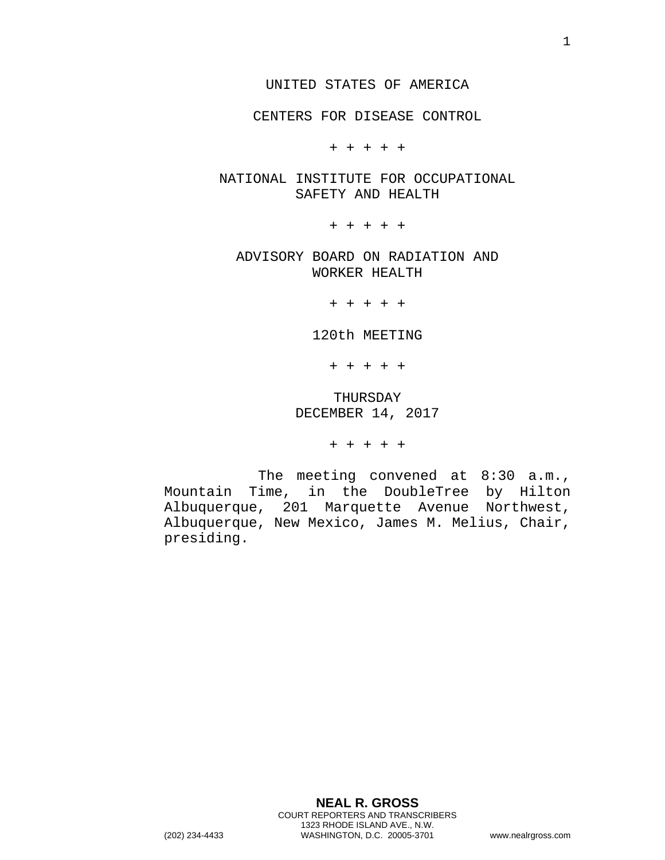CENTERS FOR DISEASE CONTROL

+ + + + +

NATIONAL INSTITUTE FOR OCCUPATIONAL SAFETY AND HEALTH

+ + + + +

ADVISORY BOARD ON RADIATION AND WORKER HEALTH

+ + + + +

120th MEETING

+ + + + +

THURSDAY DECEMBER 14, 2017

+ + + + +

The meeting convened at 8:30 a.m., Mountain Time, in the DoubleTree by Hilton Albuquerque, 201 Marquette Avenue Northwest, Albuquerque, New Mexico, James M. Melius, Chair, presiding.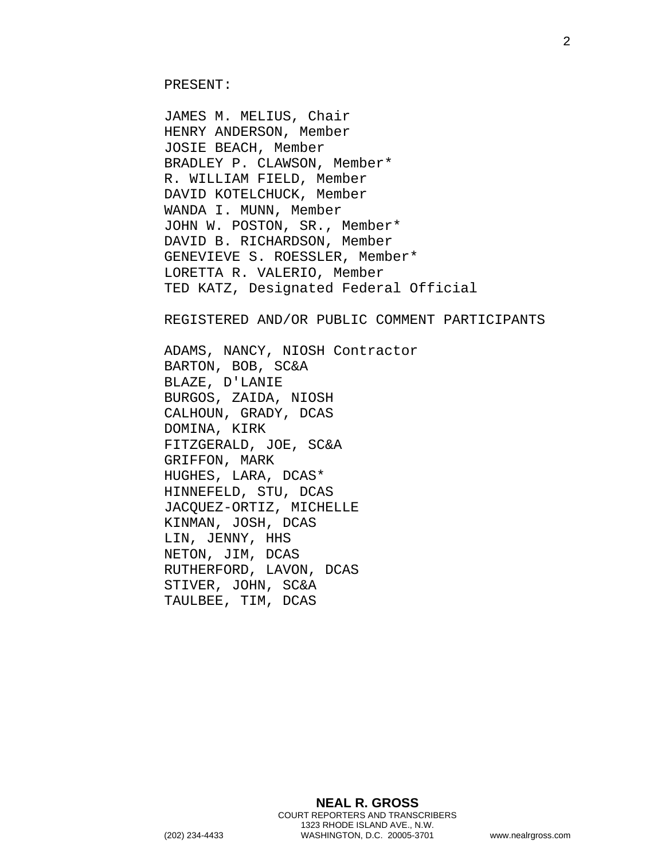JAMES M. MELIUS, Chair HENRY ANDERSON, Member JOSIE BEACH, Member BRADLEY P. CLAWSON, Member\* R. WILLIAM FIELD, Member DAVID KOTELCHUCK, Member WANDA I. MUNN, Member JOHN W. POSTON, SR., Member\* DAVID B. RICHARDSON, Member GENEVIEVE S. ROESSLER, Member\* LORETTA R. VALERIO, Member TED KATZ, Designated Federal Official

REGISTERED AND/OR PUBLIC COMMENT PARTICIPANTS

ADAMS, NANCY, NIOSH Contractor BARTON, BOB, SC&A BLAZE, D'LANIE BURGOS, ZAIDA, NIOSH CALHOUN, GRADY, DCAS DOMINA, KIRK FITZGERALD, JOE, SC&A GRIFFON, MARK HUGHES, LARA, DCAS\* HINNEFELD, STU, DCAS JACQUEZ-ORTIZ, MICHELLE KINMAN, JOSH, DCAS LIN, JENNY, HHS NETON, JIM, DCAS RUTHERFORD, LAVON, DCAS STIVER, JOHN, SC&A TAULBEE, TIM, DCAS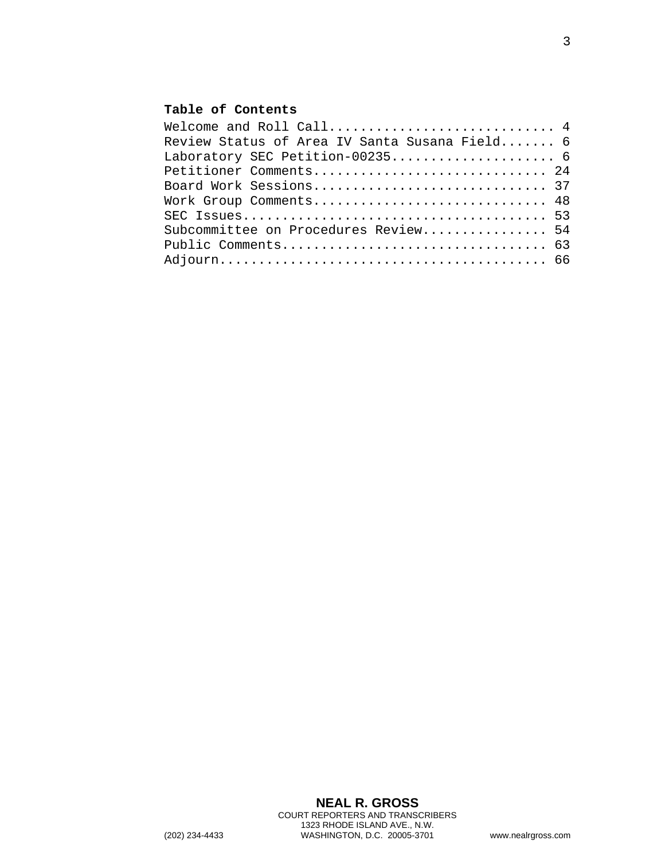## **Table of Contents**

| Welcome and Roll Call 4                       |
|-----------------------------------------------|
| Review Status of Area IV Santa Susana Field 6 |
|                                               |
| Petitioner Comments 24                        |
|                                               |
| Work Group Comments 48                        |
|                                               |
| Subcommittee on Procedures Review 54          |
|                                               |
|                                               |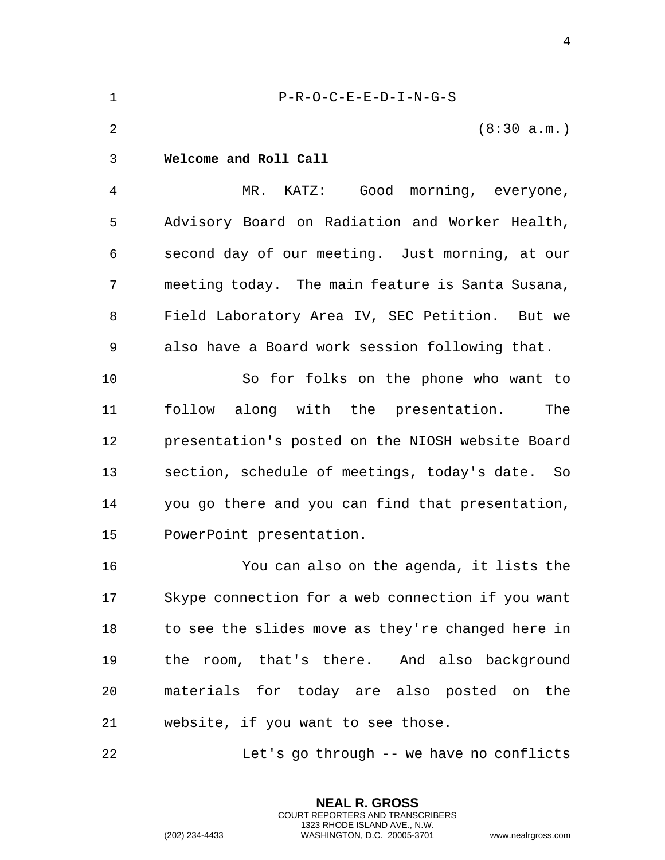<span id="page-3-0"></span>

| $\mathbf 1$    | $P-R-O-C-E-E-D-I-N-G-S$                           |
|----------------|---------------------------------------------------|
| $\overline{2}$ | (8:30 a.m.)                                       |
| 3              | Welcome and Roll Call                             |
| $\overline{4}$ | MR. KATZ: Good morning, everyone,                 |
| 5              | Advisory Board on Radiation and Worker Health,    |
| 6              | second day of our meeting. Just morning, at our   |
| 7              | meeting today. The main feature is Santa Susana,  |
| 8              | Field Laboratory Area IV, SEC Petition. But we    |
| 9              | also have a Board work session following that.    |
| 10             | So for folks on the phone who want to             |
| 11             | follow along with the presentation.<br>The        |
| 12             | presentation's posted on the NIOSH website Board  |
| 13             | section, schedule of meetings, today's date. So   |
| 14             | you go there and you can find that presentation,  |
| 15             | PowerPoint presentation.                          |
| 16             | You can also on the agenda, it lists the          |
| 17             | Skype connection for a web connection if you want |
| 18             | to see the slides move as they're changed here in |
| 19             | the room, that's there. And also background       |
| 20             | materials for today are also posted on the        |
| 21             | website, if you want to see those.                |
| 22             | Let's go through -- we have no conflicts          |

**NEAL R. GROSS** COURT REPORTERS AND TRANSCRIBERS 1323 RHODE ISLAND AVE., N.W.

(202) 234-4433 WASHINGTON, D.C. 20005-3701 www.nealrgross.com

4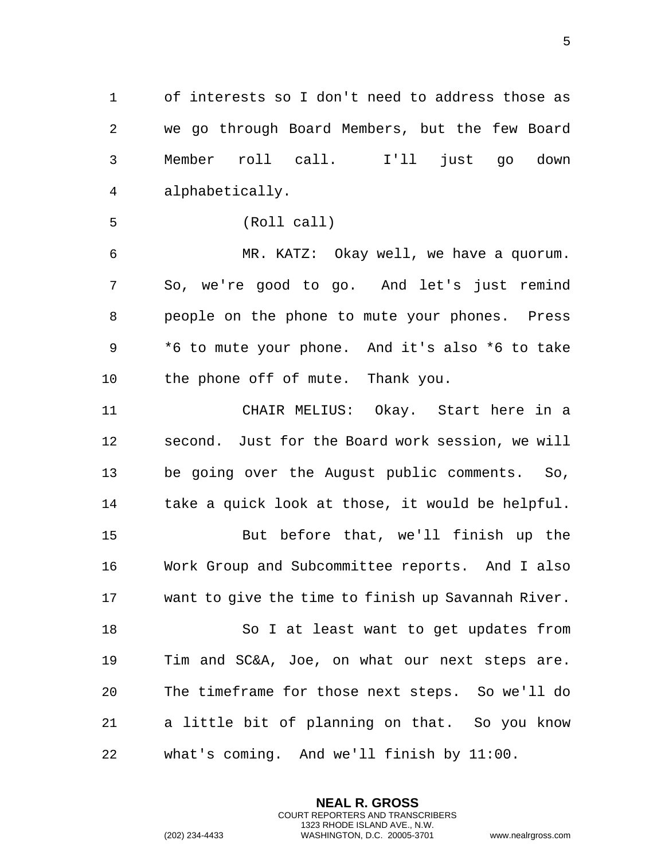1 of interests so I don't need to address those as 2 we go through Board Members, but the few Board 3 Member roll call. I'll just go down 4 alphabetically.

5 (Roll call)

6 MR. KATZ: Okay well, we have a quorum. 7 So, we're good to go. And let's just remind 8 people on the phone to mute your phones. Press 9 \*6 to mute your phone. And it's also \*6 to take 10 the phone off of mute. Thank you.

11 CHAIR MELIUS: Okay. Start here in a 12 second. Just for the Board work session, we will 13 be going over the August public comments. So, 14 take a quick look at those, it would be helpful. 15 But before that, we'll finish up the

16 Work Group and Subcommittee reports. And I also 17 want to give the time to finish up Savannah River.

18 So I at least want to get updates from 19 Tim and SC&A, Joe, on what our next steps are. 20 The timeframe for those next steps. So we'll do 21 a little bit of planning on that. So you know 22 what's coming. And we'll finish by 11:00.

> **NEAL R. GROSS** COURT REPORTERS AND TRANSCRIBERS 1323 RHODE ISLAND AVE., N.W.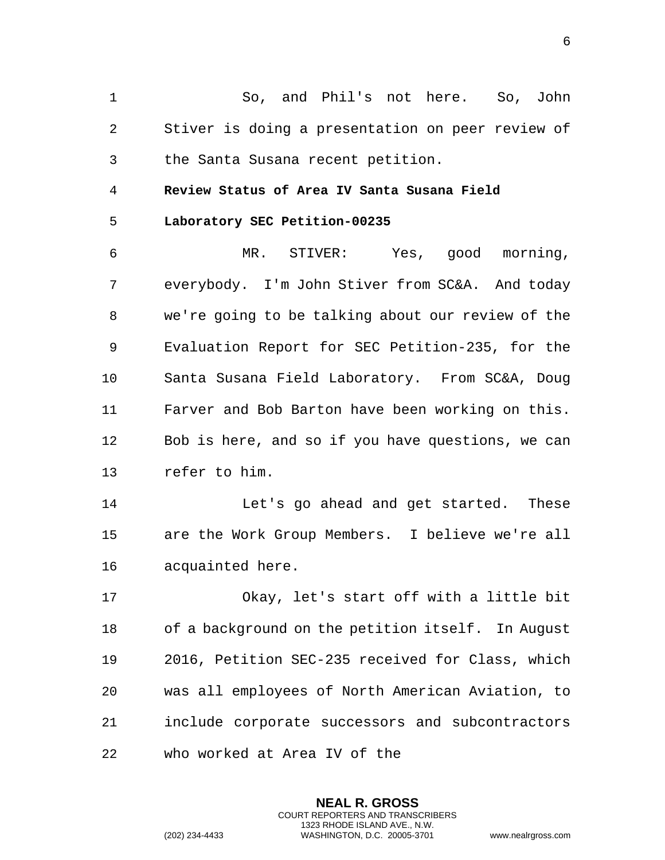1 So, and Phil's not here. So, John 2 Stiver is doing a presentation on peer review of 3 the Santa Susana recent petition.

<span id="page-5-0"></span>4 **Review Status of Area IV Santa Susana Field** 

<span id="page-5-1"></span>5 **Laboratory SEC Petition-00235** 

6 MR. STIVER: Yes, good morning, 7 everybody. I'm John Stiver from SC&A. And today 8 we're going to be talking about our review of the 9 Evaluation Report for SEC Petition-235, for the 10 Santa Susana Field Laboratory. From SC&A, Doug 11 Farver and Bob Barton have been working on this. 12 Bob is here, and so if you have questions, we can 13 refer to him.

14 Let's go ahead and get started. These 15 are the Work Group Members. I believe we're all 16 acquainted here.

17 Okay, let's start off with a little bit 18 of a background on the petition itself. In August 19 2016, Petition SEC-235 received for Class, which 20 was all employees of North American Aviation, to 21 include corporate successors and subcontractors 22 who worked at Area IV of the

> **NEAL R. GROSS** COURT REPORTERS AND TRANSCRIBERS 1323 RHODE ISLAND AVE., N.W.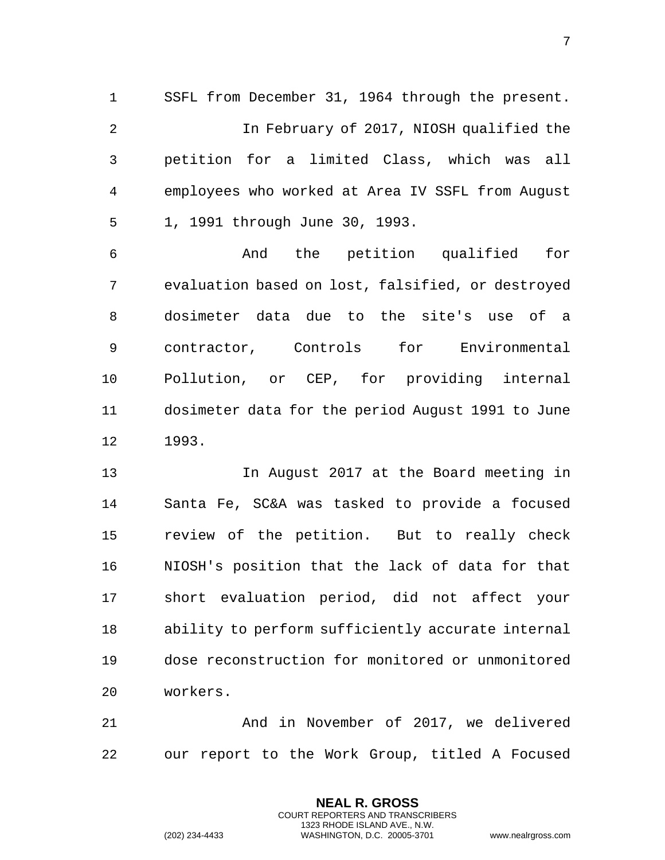1 SSFL from December 31, 1964 through the present. 2 In February of 2017, NIOSH qualified the 3 petition for a limited Class, which was all 4 employees who worked at Area IV SSFL from August 5 1, 1991 through June 30, 1993.

6 And the petition qualified for 7 evaluation based on lost, falsified, or destroyed 8 dosimeter data due to the site's use of a 9 contractor, Controls for Environmental 10 Pollution, or CEP, for providing internal 11 dosimeter data for the period August 1991 to June 12 1993.

13 In August 2017 at the Board meeting in 14 Santa Fe, SC&A was tasked to provide a focused 15 review of the petition. But to really check 16 NIOSH's position that the lack of data for that 17 short evaluation period, did not affect your 18 ability to perform sufficiently accurate internal 19 dose reconstruction for monitored or unmonitored 20 workers.

21 And in November of 2017, we delivered 22 our report to the Work Group, titled A Focused

> **NEAL R. GROSS** COURT REPORTERS AND TRANSCRIBERS 1323 RHODE ISLAND AVE., N.W.

(202) 234-4433 WASHINGTON, D.C. 20005-3701 www.nealrgross.com

7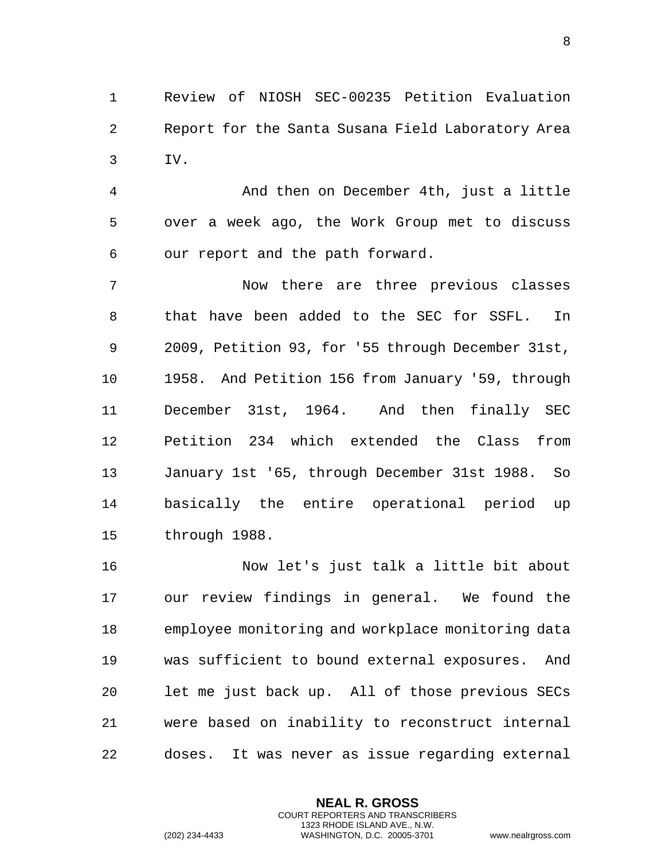1 Review of NIOSH SEC-00235 Petition Evaluation 2 Report for the Santa Susana Field Laboratory Area 3 IV.

4 And then on December 4th, just a little 5 over a week ago, the Work Group met to discuss 6 our report and the path forward.

7 Now there are three previous classes 8 that have been added to the SEC for SSFL. In 9 2009, Petition 93, for '55 through December 31st, 10 1958. And Petition 156 from January '59, through 11 December 31st, 1964. And then finally SEC 12 Petition 234 which extended the Class from 13 January 1st '65, through December 31st 1988. So 14 basically the entire operational period up 15 through 1988.

16 Now let's just talk a little bit about 17 our review findings in general. We found the 18 employee monitoring and workplace monitoring data 19 was sufficient to bound external exposures. And 20 let me just back up. All of those previous SECs 21 were based on inability to reconstruct internal 22 doses. It was never as issue regarding external

> **NEAL R. GROSS** COURT REPORTERS AND TRANSCRIBERS 1323 RHODE ISLAND AVE., N.W.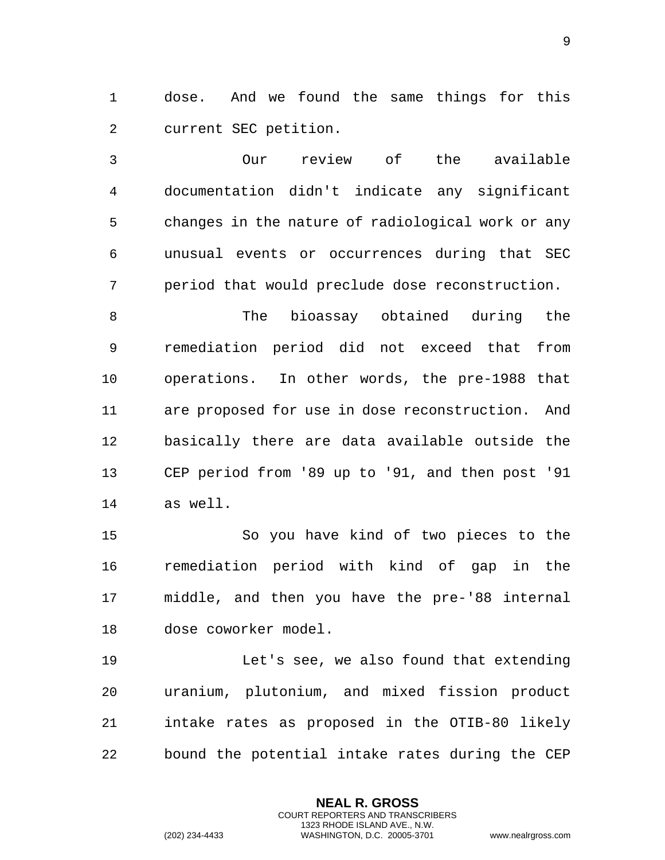1 dose. And we found the same things for this 2 current SEC petition.

3 Our review of the available 4 documentation didn't indicate any significant 5 changes in the nature of radiological work or any 6 unusual events or occurrences during that SEC 7 period that would preclude dose reconstruction.

8 The bioassay obtained during the 9 remediation period did not exceed that from 10 operations. In other words, the pre-1988 that 11 are proposed for use in dose reconstruction. And 12 basically there are data available outside the 13 CEP period from '89 up to '91, and then post '91 14 as well.

15 So you have kind of two pieces to the 16 remediation period with kind of gap in the 17 middle, and then you have the pre-'88 internal 18 dose coworker model.

19 Let's see, we also found that extending 20 uranium, plutonium, and mixed fission product 21 intake rates as proposed in the OTIB-80 likely 22 bound the potential intake rates during the CEP

> **NEAL R. GROSS** COURT REPORTERS AND TRANSCRIBERS 1323 RHODE ISLAND AVE., N.W.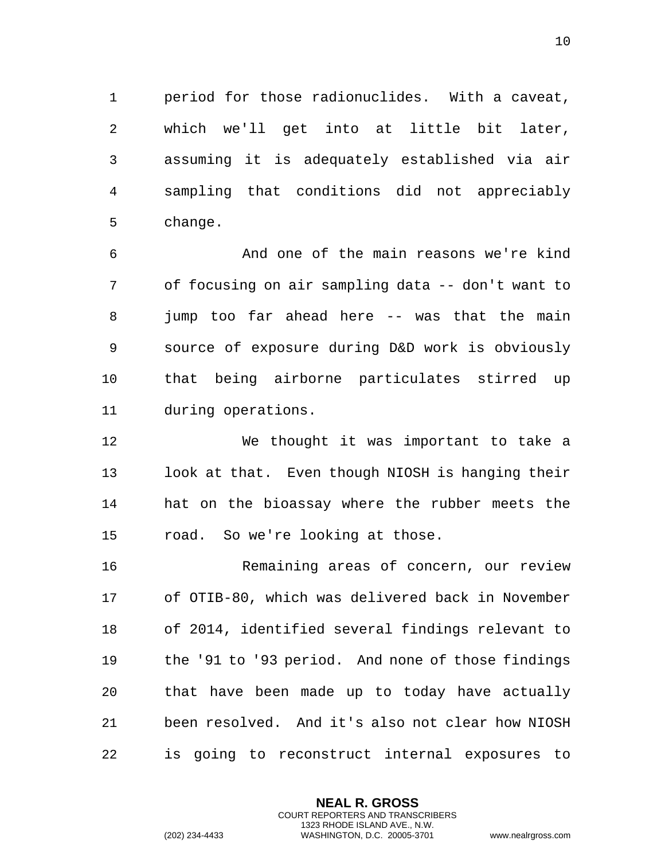1 period for those radionuclides. With a caveat, 2 which we'll get into at little bit later, 3 assuming it is adequately established via air 4 sampling that conditions did not appreciably 5 change.

6 And one of the main reasons we're kind 7 of focusing on air sampling data -- don't want to 8 jump too far ahead here -- was that the main 9 source of exposure during D&D work is obviously 10 that being airborne particulates stirred up 11 during operations.

12 We thought it was important to take a 13 look at that. Even though NIOSH is hanging their 14 hat on the bioassay where the rubber meets the 15 road. So we're looking at those.

16 Remaining areas of concern, our review 17 of OTIB-80, which was delivered back in November 18 of 2014, identified several findings relevant to 19 the '91 to '93 period. And none of those findings 20 that have been made up to today have actually 21 been resolved. And it's also not clear how NIOSH 22 is going to reconstruct internal exposures to

> **NEAL R. GROSS** COURT REPORTERS AND TRANSCRIBERS 1323 RHODE ISLAND AVE., N.W.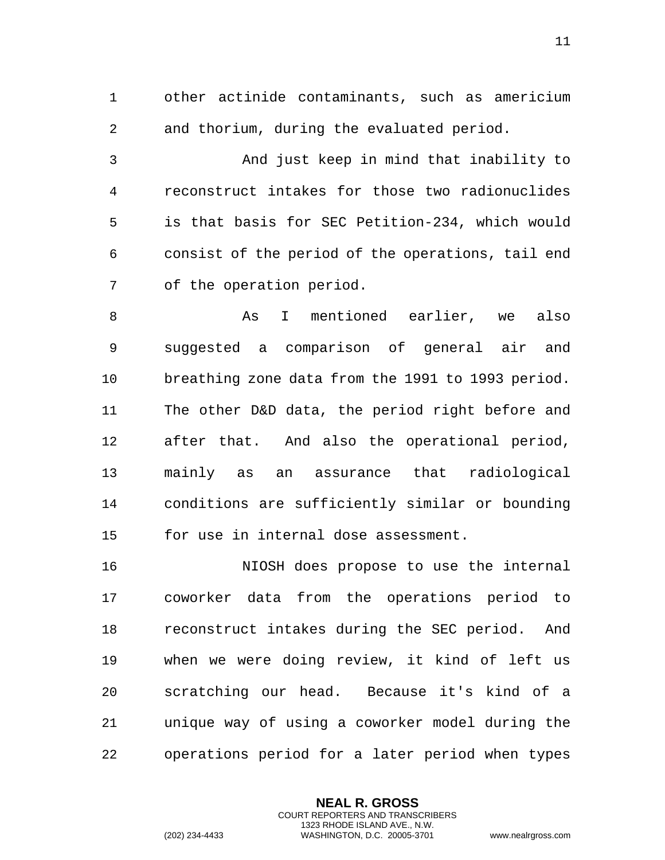1 other actinide contaminants, such as americium 2 and thorium, during the evaluated period.

3 And just keep in mind that inability to 4 reconstruct intakes for those two radionuclides 5 is that basis for SEC Petition-234, which would 6 consist of the period of the operations, tail end 7 of the operation period.

8 As I mentioned earlier, we also 9 suggested a comparison of general air and 10 breathing zone data from the 1991 to 1993 period. 11 The other D&D data, the period right before and 12 after that. And also the operational period, 13 mainly as an assurance that radiological 14 conditions are sufficiently similar or bounding 15 for use in internal dose assessment.

16 NIOSH does propose to use the internal 17 coworker data from the operations period to 18 reconstruct intakes during the SEC period. And 19 when we were doing review, it kind of left us 20 scratching our head. Because it's kind of a 21 unique way of using a coworker model during the 22 operations period for a later period when types

> **NEAL R. GROSS** COURT REPORTERS AND TRANSCRIBERS 1323 RHODE ISLAND AVE., N.W.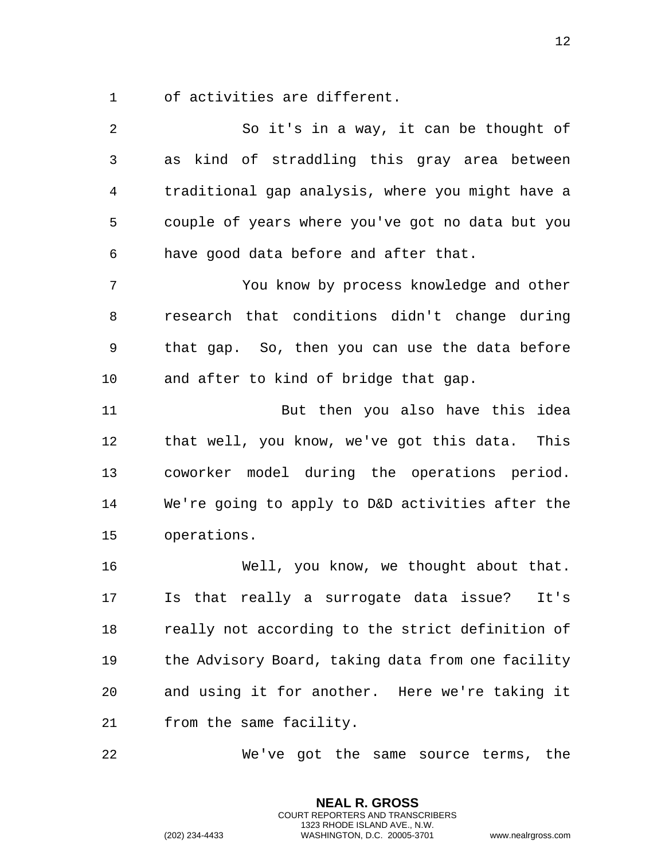1 of activities are different.

| $\overline{2}$ | So it's in a way, it can be thought of            |
|----------------|---------------------------------------------------|
| 3              | as kind of straddling this gray area between      |
| 4              | traditional gap analysis, where you might have a  |
| 5              | couple of years where you've got no data but you  |
| 6              | have good data before and after that.             |
| 7              | You know by process knowledge and other           |
| 8              | research that conditions didn't change during     |
| 9              | that gap. So, then you can use the data before    |
| 10             | and after to kind of bridge that gap.             |
| 11             | But then you also have this idea                  |
| 12             | that well, you know, we've got this data. This    |
| 13             | coworker model during the operations period.      |
| 14             | We're going to apply to D&D activities after the  |
| 15             | operations.                                       |
| 16             | Well, you know, we thought about that.            |
| 17             | Is that really a surrogate data issue?<br>It's    |
| 18             | really not according to the strict definition of  |
| 19             | the Advisory Board, taking data from one facility |
| 20             | and using it for another. Here we're taking it    |
| 21             | from the same facility.                           |

22 We've got the same source terms, the

**NEAL R. GROSS** COURT REPORTERS AND TRANSCRIBERS 1323 RHODE ISLAND AVE., N.W.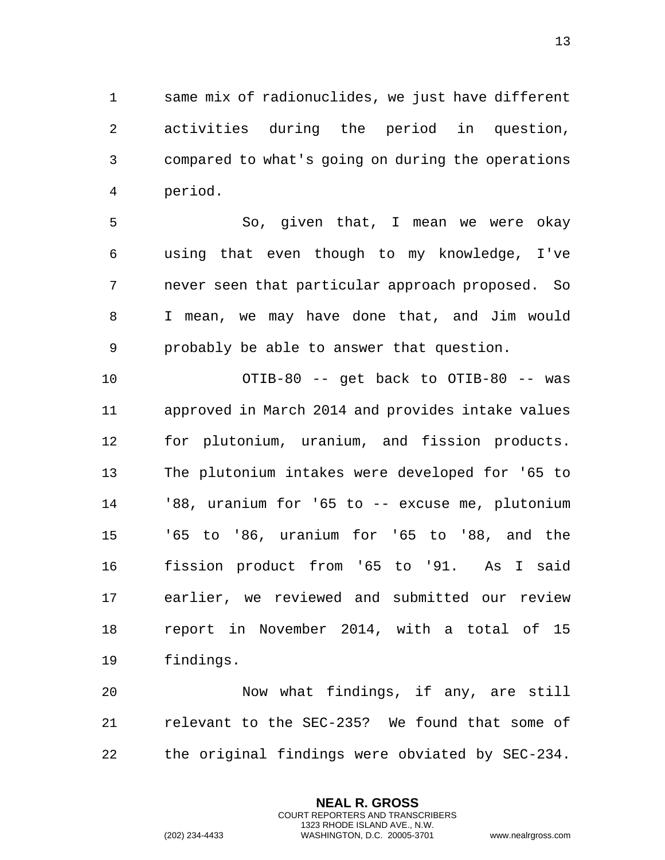same mix of radionuclides, we just have different activities during the period in question, compared to what's going on during the operations period.

 So, given that, I mean we were okay using that even though to my knowledge, I've never seen that particular approach proposed. So I mean, we may have done that, and Jim would probably be able to answer that question.

 OTIB-80 -- get back to OTIB-80 -- was approved in March 2014 and provides intake values for plutonium, uranium, and fission products. The plutonium intakes were developed for '65 to '88, uranium for '65 to -- excuse me, plutonium '65 to '86, uranium for '65 to '88, and the fission product from '65 to '91. As I said earlier, we reviewed and submitted our review report in November 2014, with a total of 15 findings.

 Now what findings, if any, are still relevant to the SEC-235? We found that some of the original findings were obviated by SEC-234.

> **NEAL R. GROSS** COURT REPORTERS AND TRANSCRIBERS 1323 RHODE ISLAND AVE., N.W.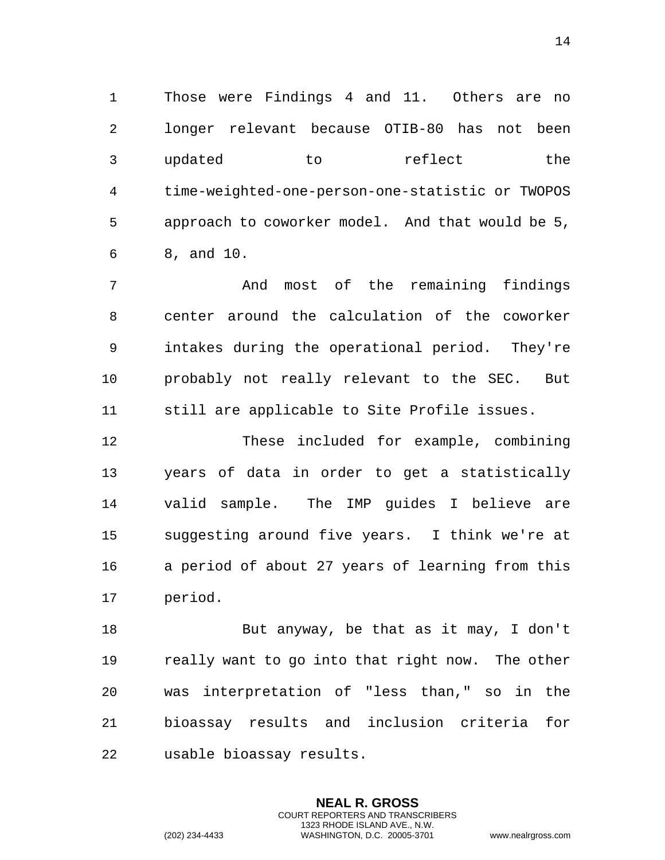Those were Findings 4 and 11. Others are no longer relevant because OTIB-80 has not been 3 updated to reflect the time-weighted-one-person-one-statistic or TWOPOS approach to coworker model. And that would be 5, 8, and 10.

 And most of the remaining findings center around the calculation of the coworker intakes during the operational period. They're probably not really relevant to the SEC. But still are applicable to Site Profile issues.

 These included for example, combining years of data in order to get a statistically valid sample. The IMP guides I believe are suggesting around five years. I think we're at a period of about 27 years of learning from this period.

 But anyway, be that as it may, I don't really want to go into that right now. The other was interpretation of "less than," so in the bioassay results and inclusion criteria for usable bioassay results.

> **NEAL R. GROSS** COURT REPORTERS AND TRANSCRIBERS 1323 RHODE ISLAND AVE., N.W.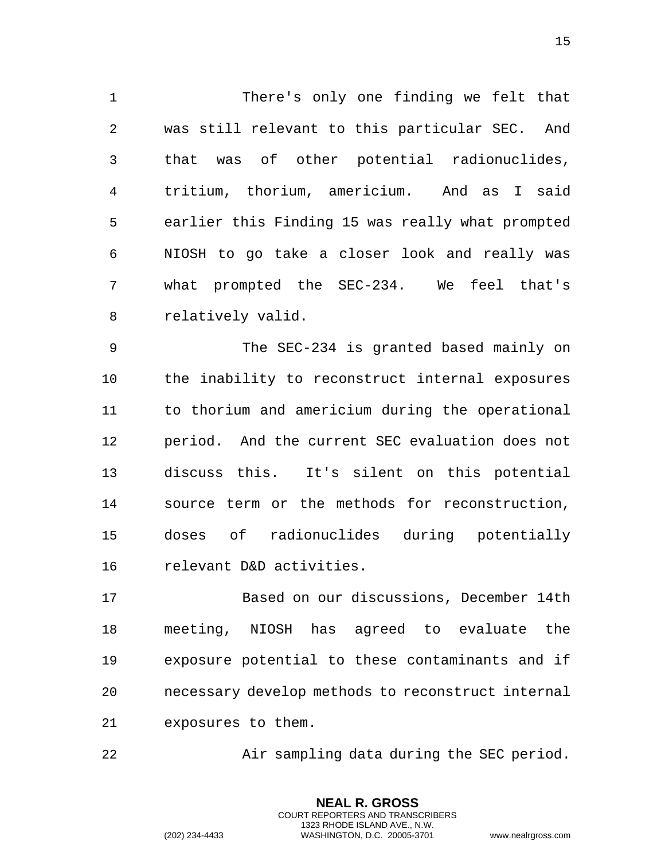1 There's only one finding we felt that 2 was still relevant to this particular SEC. And 3 that was of other potential radionuclides, 4 tritium, thorium, americium. And as I said 5 earlier this Finding 15 was really what prompted 6 NIOSH to go take a closer look and really was 7 what prompted the SEC-234. We feel that's 8 relatively valid.

9 The SEC-234 is granted based mainly on 10 the inability to reconstruct internal exposures 11 to thorium and americium during the operational 12 period. And the current SEC evaluation does not 13 discuss this. It's silent on this potential 14 source term or the methods for reconstruction, 15 doses of radionuclides during potentially 16 relevant D&D activities.

17 Based on our discussions, December 14th 18 meeting, NIOSH has agreed to evaluate the 19 exposure potential to these contaminants and if 20 necessary develop methods to reconstruct internal 21 exposures to them.

22 Air sampling data during the SEC period.

**NEAL R. GROSS** COURT REPORTERS AND TRANSCRIBERS 1323 RHODE ISLAND AVE., N.W.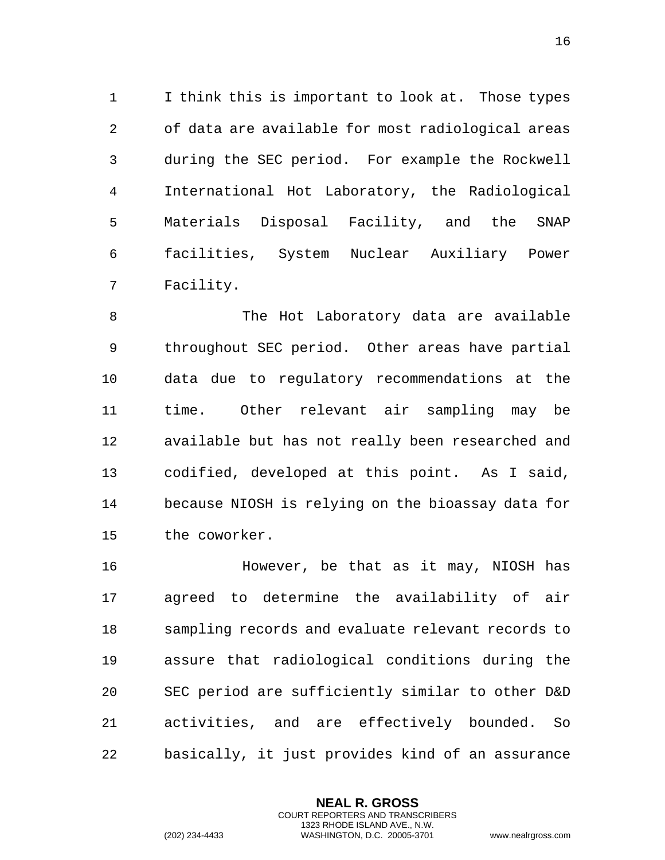1 I think this is important to look at. Those types 2 of data are available for most radiological areas 3 during the SEC period. For example the Rockwell 4 International Hot Laboratory, the Radiological 5 Materials Disposal Facility, and the SNAP 6 facilities, System Nuclear Auxiliary Power 7 Facility.

8 The Hot Laboratory data are available 9 throughout SEC period. Other areas have partial 10 data due to regulatory recommendations at the 11 time. Other relevant air sampling may be 12 available but has not really been researched and 13 codified, developed at this point. As I said, 14 because NIOSH is relying on the bioassay data for 15 the coworker.

16 However, be that as it may, NIOSH has 17 agreed to determine the availability of air 18 sampling records and evaluate relevant records to 19 assure that radiological conditions during the 20 SEC period are sufficiently similar to other D&D 21 activities, and are effectively bounded. So 22 basically, it just provides kind of an assurance

> **NEAL R. GROSS** COURT REPORTERS AND TRANSCRIBERS 1323 RHODE ISLAND AVE., N.W.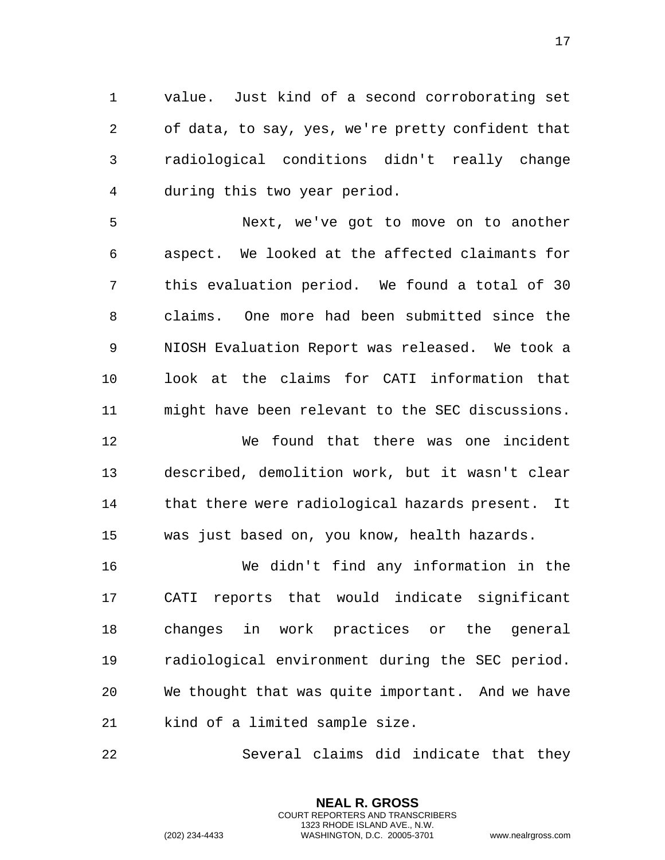1 value. Just kind of a second corroborating set 2 of data, to say, yes, we're pretty confident that 3 radiological conditions didn't really change 4 during this two year period.

5 Next, we've got to move on to another 6 aspect. We looked at the affected claimants for 7 this evaluation period. We found a total of 30 8 claims. One more had been submitted since the 9 NIOSH Evaluation Report was released. We took a 10 look at the claims for CATI information that 11 might have been relevant to the SEC discussions.

12 We found that there was one incident 13 described, demolition work, but it wasn't clear 14 that there were radiological hazards present. It 15 was just based on, you know, health hazards.

16 We didn't find any information in the 17 CATI reports that would indicate significant 18 changes in work practices or the general 19 radiological environment during the SEC period. 20 We thought that was quite important. And we have 21 kind of a limited sample size.

22 Several claims did indicate that they

**NEAL R. GROSS** COURT REPORTERS AND TRANSCRIBERS 1323 RHODE ISLAND AVE., N.W.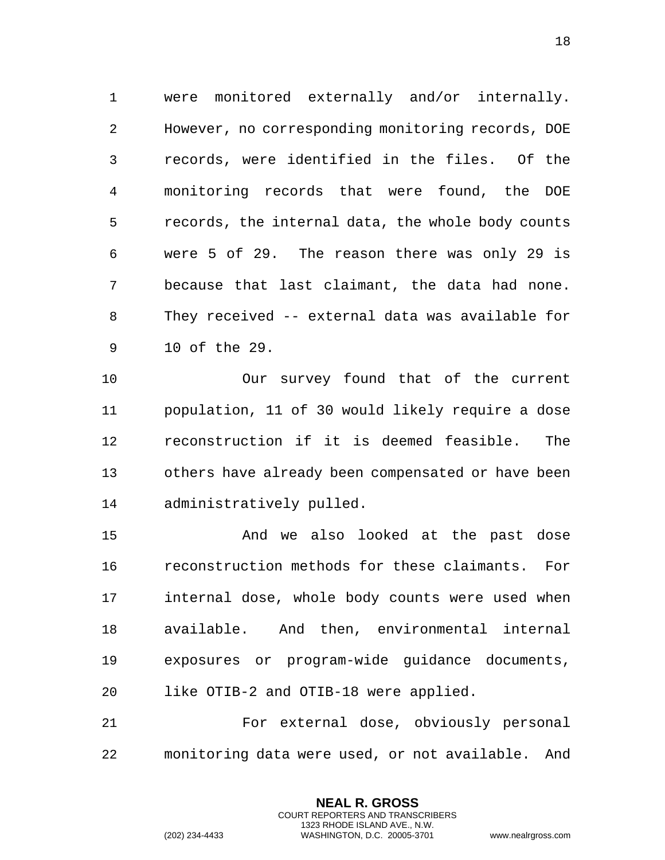1 were monitored externally and/or internally. 2 However, no corresponding monitoring records, DOE 3 records, were identified in the files. Of the 4 monitoring records that were found, the DOE 5 records, the internal data, the whole body counts 6 were 5 of 29. The reason there was only 29 is 7 because that last claimant, the data had none. 8 They received -- external data was available for 9 10 of the 29.

10 Our survey found that of the current 11 population, 11 of 30 would likely require a dose 12 reconstruction if it is deemed feasible. The 13 others have already been compensated or have been 14 administratively pulled.

15 And we also looked at the past dose 16 reconstruction methods for these claimants. For 17 internal dose, whole body counts were used when 18 available. And then, environmental internal 19 exposures or program-wide guidance documents, 20 like OTIB-2 and OTIB-18 were applied.

21 For external dose, obviously personal 22 monitoring data were used, or not available. And

> **NEAL R. GROSS** COURT REPORTERS AND TRANSCRIBERS 1323 RHODE ISLAND AVE., N.W.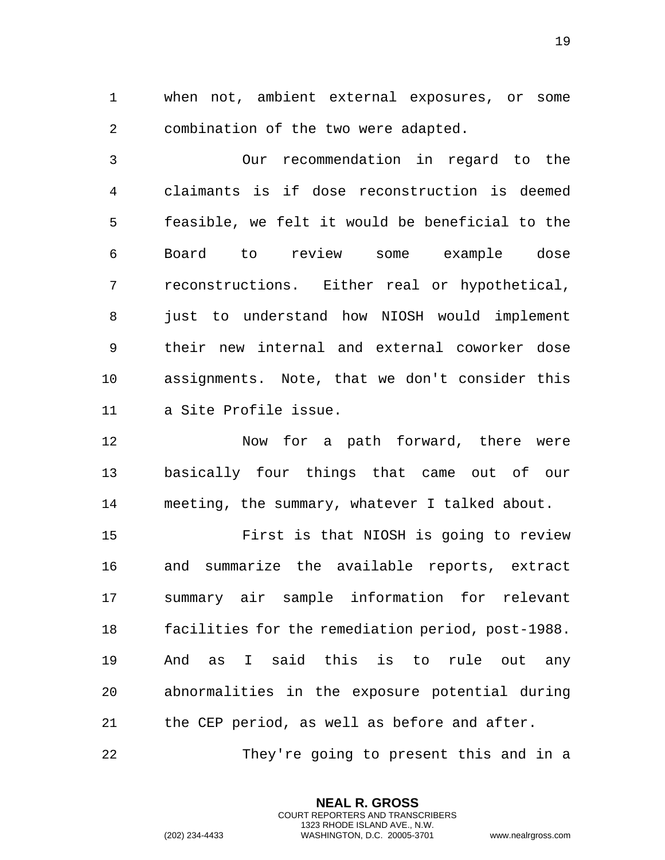1 when not, ambient external exposures, or some 2 combination of the two were adapted.

3 Our recommendation in regard to the 4 claimants is if dose reconstruction is deemed 5 feasible, we felt it would be beneficial to the 6 Board to review some example dose 7 reconstructions. Either real or hypothetical, 8 just to understand how NIOSH would implement 9 their new internal and external coworker dose 10 assignments. Note, that we don't consider this 11 a Site Profile issue.

12 Now for a path forward, there were 13 basically four things that came out of our 14 meeting, the summary, whatever I talked about.

15 First is that NIOSH is going to review 16 and summarize the available reports, extract 17 summary air sample information for relevant 18 facilities for the remediation period, post-1988. 19 And as I said this is to rule out any 20 abnormalities in the exposure potential during 21 the CEP period, as well as before and after.

22 They're going to present this and in a

**NEAL R. GROSS** COURT REPORTERS AND TRANSCRIBERS 1323 RHODE ISLAND AVE., N.W.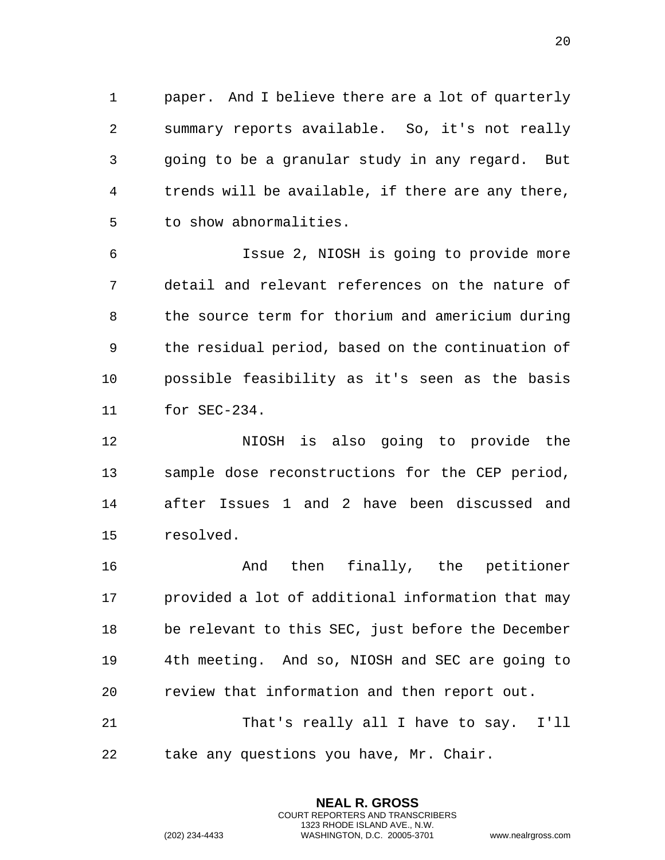1 paper. And I believe there are a lot of quarterly 2 summary reports available. So, it's not really 3 going to be a granular study in any regard. But 4 trends will be available, if there are any there, 5 to show abnormalities.

6 Issue 2, NIOSH is going to provide more 7 detail and relevant references on the nature of 8 the source term for thorium and americium during 9 the residual period, based on the continuation of 10 possible feasibility as it's seen as the basis 11 for SEC-234.

12 NIOSH is also going to provide the 13 sample dose reconstructions for the CEP period, 14 after Issues 1 and 2 have been discussed and 15 resolved.

16 And then finally, the petitioner 17 provided a lot of additional information that may 18 be relevant to this SEC, just before the December 19 4th meeting. And so, NIOSH and SEC are going to 20 review that information and then report out. 21 That's really all I have to say. I'll

> **NEAL R. GROSS** COURT REPORTERS AND TRANSCRIBERS 1323 RHODE ISLAND AVE., N.W.

22 take any questions you have, Mr. Chair.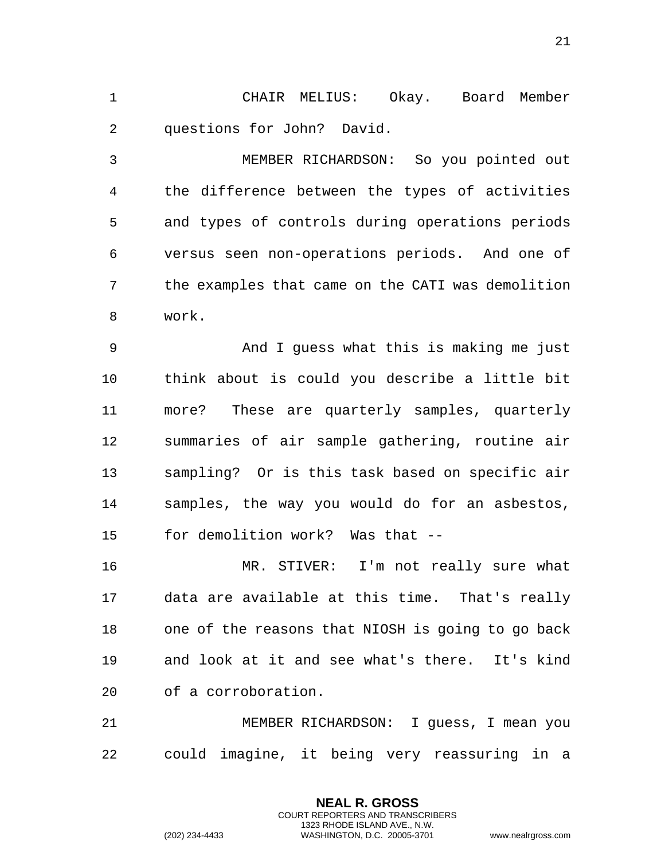1 CHAIR MELIUS: Okay. Board Member 2 questions for John? David.

3 MEMBER RICHARDSON: So you pointed out 4 the difference between the types of activities 5 and types of controls during operations periods 6 versus seen non-operations periods. And one of 7 the examples that came on the CATI was demolition 8 work.

9 And I guess what this is making me just 10 think about is could you describe a little bit 11 more? These are quarterly samples, quarterly 12 summaries of air sample gathering, routine air 13 sampling? Or is this task based on specific air 14 samples, the way you would do for an asbestos, 15 for demolition work? Was that --

16 MR. STIVER: I'm not really sure what 17 data are available at this time. That's really 18 one of the reasons that NIOSH is going to go back 19 and look at it and see what's there. It's kind 20 of a corroboration.

21 MEMBER RICHARDSON: I guess, I mean you 22 could imagine, it being very reassuring in a

> **NEAL R. GROSS** COURT REPORTERS AND TRANSCRIBERS 1323 RHODE ISLAND AVE., N.W.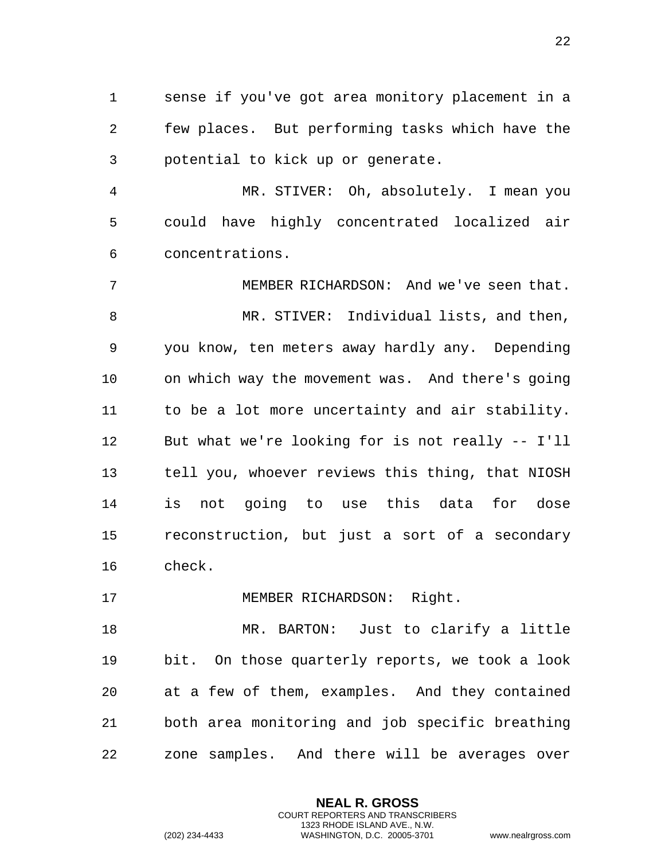1 sense if you've got area monitory placement in a 2 few places. But performing tasks which have the 3 potential to kick up or generate.

4 MR. STIVER: Oh, absolutely. I mean you 5 could have highly concentrated localized air 6 concentrations.

7 MEMBER RICHARDSON: And we've seen that. 8 MR. STIVER: Individual lists, and then, 9 you know, ten meters away hardly any. Depending 10 on which way the movement was. And there's going 11 to be a lot more uncertainty and air stability. 12 But what we're looking for is not really -- I'll 13 tell you, whoever reviews this thing, that NIOSH 14 is not going to use this data for dose 15 reconstruction, but just a sort of a secondary 16 check.

17 MEMBER RICHARDSON: Right.

18 MR. BARTON: Just to clarify a little 19 bit. On those quarterly reports, we took a look 20 at a few of them, examples. And they contained 21 both area monitoring and job specific breathing 22 zone samples. And there will be averages over

> **NEAL R. GROSS** COURT REPORTERS AND TRANSCRIBERS 1323 RHODE ISLAND AVE., N.W.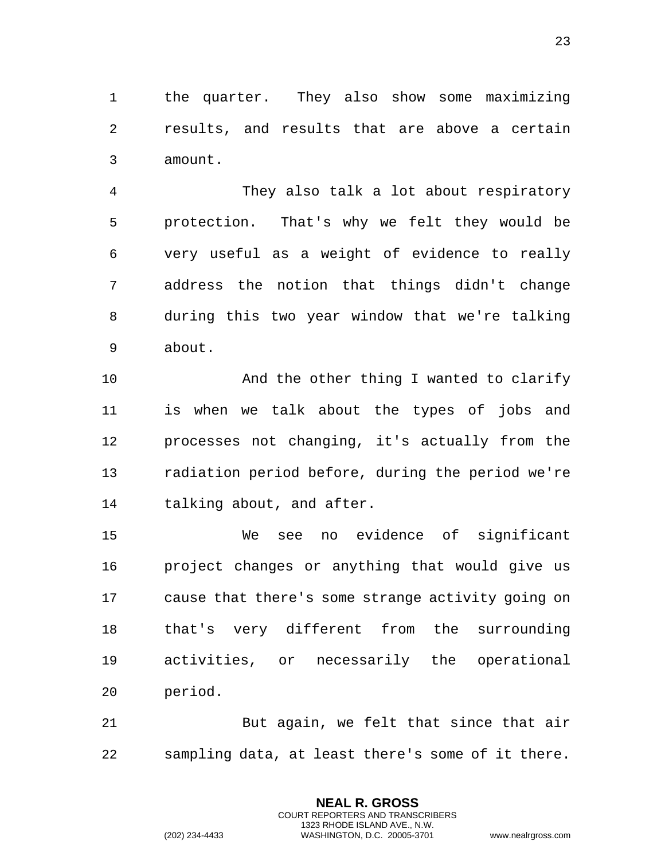1 the quarter. They also show some maximizing 2 results, and results that are above a certain 3 amount.

4 They also talk a lot about respiratory 5 protection. That's why we felt they would be 6 very useful as a weight of evidence to really 7 address the notion that things didn't change 8 during this two year window that we're talking 9 about.

10 And the other thing I wanted to clarify 11 is when we talk about the types of jobs and 12 processes not changing, it's actually from the 13 radiation period before, during the period we're 14 talking about, and after.

15 We see no evidence of significant 16 project changes or anything that would give us 17 cause that there's some strange activity going on 18 that's very different from the surrounding 19 activities, or necessarily the operational 20 period.

21 But again, we felt that since that air 22 sampling data, at least there's some of it there.

> **NEAL R. GROSS** COURT REPORTERS AND TRANSCRIBERS 1323 RHODE ISLAND AVE., N.W.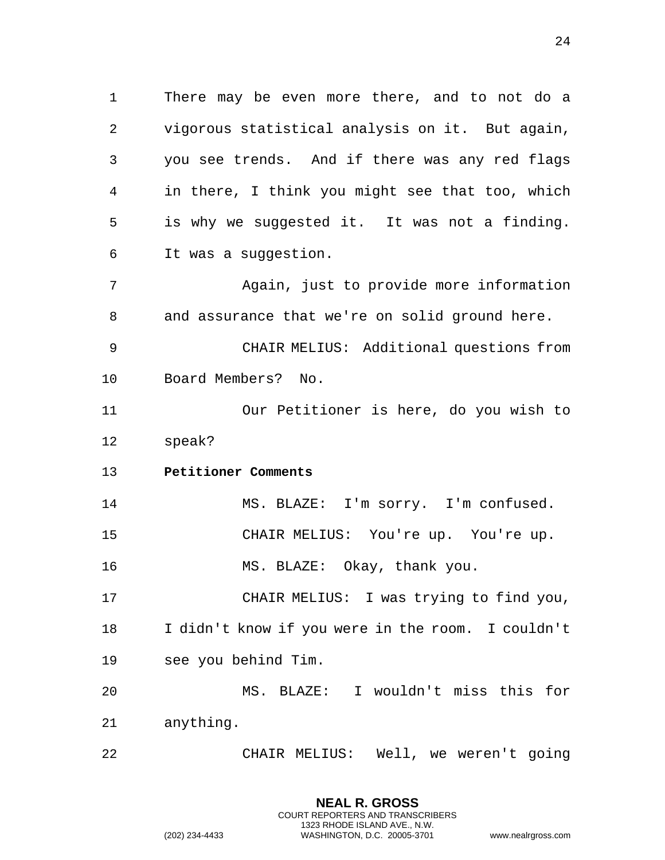1 There may be even more there, and to not do a 2 vigorous statistical analysis on it. But again, 3 you see trends. And if there was any red flags 4 in there, I think you might see that too, which 5 is why we suggested it. It was not a finding. 6 It was a suggestion.

7 Again, just to provide more information 8 and assurance that we're on solid ground here.

9 CHAIR MELIUS: Additional questions from 10 Board Members? No.

11 Our Petitioner is here, do you wish to 12 speak?

<span id="page-23-0"></span>13 **Petitioner Comments** 

14 MS. BLAZE: I'm sorry. I'm confused. 15 CHAIR MELIUS: You're up. You're up. 16 MS. BLAZE: Okay, thank you.

17 CHAIR MELIUS: I was trying to find you, 18 I didn't know if you were in the room. I couldn't 19 see you behind Tim.

20 MS. BLAZE: I wouldn't miss this for 21 anything.

22 CHAIR MELIUS: Well, we weren't going

**NEAL R. GROSS** COURT REPORTERS AND TRANSCRIBERS 1323 RHODE ISLAND AVE., N.W.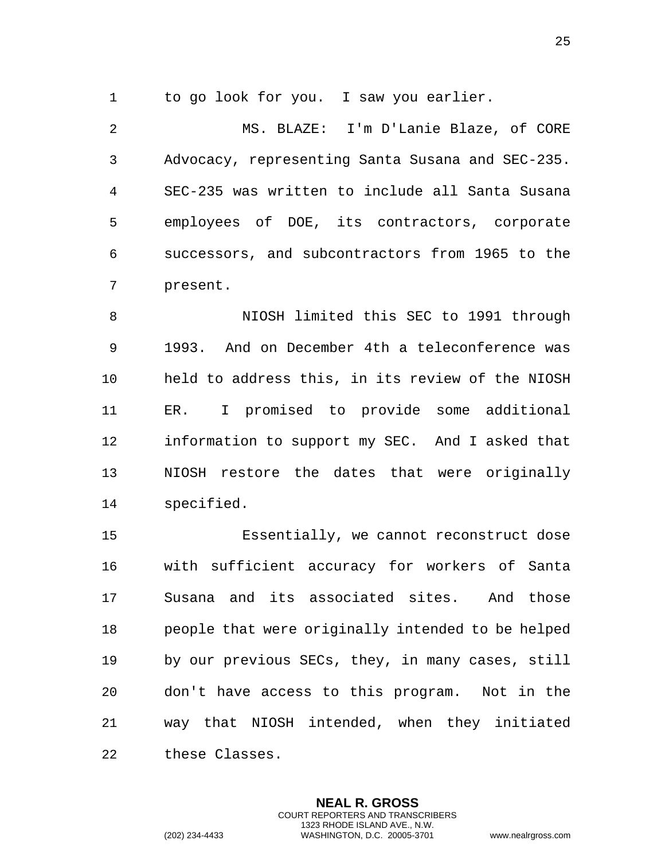1 to go look for you. I saw you earlier.

2 MS. BLAZE: I'm D'Lanie Blaze, of CORE 3 Advocacy, representing Santa Susana and SEC-235. 4 SEC-235 was written to include all Santa Susana 5 employees of DOE, its contractors, corporate 6 successors, and subcontractors from 1965 to the 7 present.

8 NIOSH limited this SEC to 1991 through 9 1993. And on December 4th a teleconference was 10 held to address this, in its review of the NIOSH 11 ER. I promised to provide some additional 12 information to support my SEC. And I asked that 13 NIOSH restore the dates that were originally 14 specified.

15 Essentially, we cannot reconstruct dose 16 with sufficient accuracy for workers of Santa 17 Susana and its associated sites. And those 18 people that were originally intended to be helped 19 by our previous SECs, they, in many cases, still 20 don't have access to this program. Not in the 21 way that NIOSH intended, when they initiated 22 these Classes.

> **NEAL R. GROSS** COURT REPORTERS AND TRANSCRIBERS 1323 RHODE ISLAND AVE., N.W.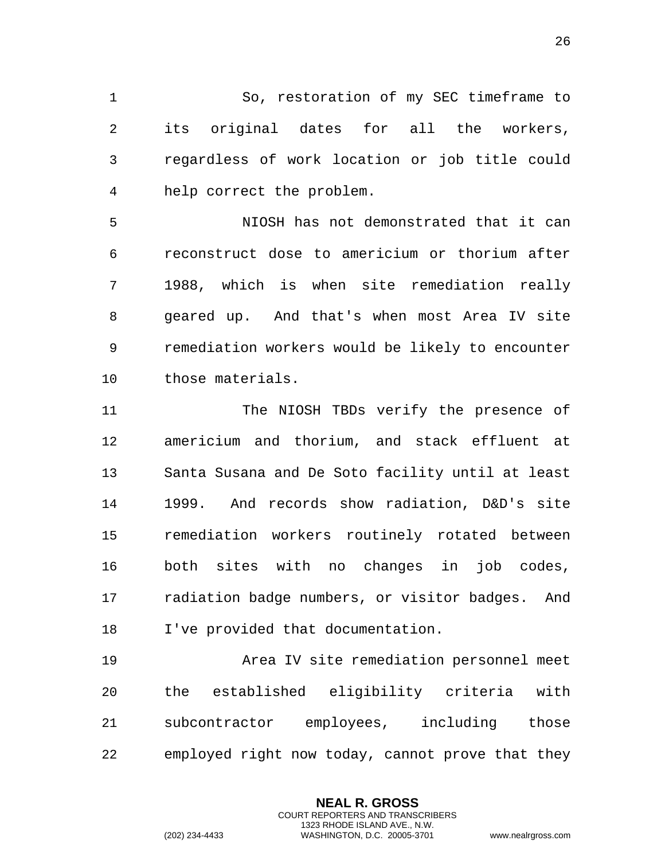1 So, restoration of my SEC timeframe to 2 its original dates for all the workers, 3 regardless of work location or job title could 4 help correct the problem.

5 NIOSH has not demonstrated that it can 6 reconstruct dose to americium or thorium after 7 1988, which is when site remediation really 8 geared up. And that's when most Area IV site 9 remediation workers would be likely to encounter 10 those materials.

11 The NIOSH TBDs verify the presence of 12 americium and thorium, and stack effluent at 13 Santa Susana and De Soto facility until at least 14 1999. And records show radiation, D&D's site 15 remediation workers routinely rotated between 16 both sites with no changes in job codes, 17 radiation badge numbers, or visitor badges. And 18 I've provided that documentation.

19 Area IV site remediation personnel meet 20 the established eligibility criteria with 21 subcontractor employees, including those 22 employed right now today, cannot prove that they

> **NEAL R. GROSS** COURT REPORTERS AND TRANSCRIBERS 1323 RHODE ISLAND AVE., N.W.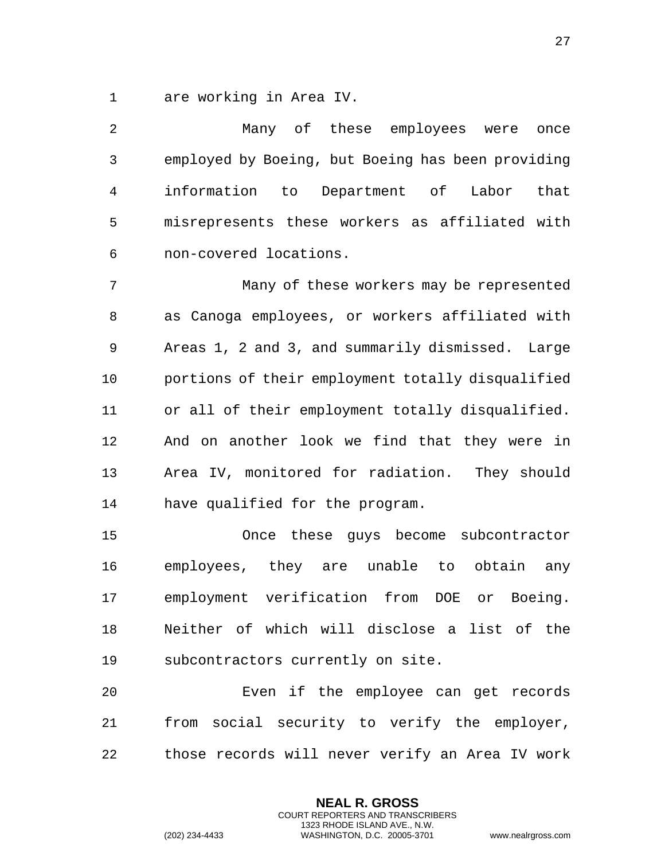1 are working in Area IV.

| 2            | Many of these employees were<br>once              |
|--------------|---------------------------------------------------|
| $\mathsf{3}$ | employed by Boeing, but Boeing has been providing |
| 4            | information to Department of Labor<br>that        |
| 5            | misrepresents these workers as affiliated with    |
| 6            | non-covered locations.                            |
| 7            | Many of these workers may be represented          |
| 8            | as Canoga employees, or workers affiliated with   |
| 9            | Areas 1, 2 and 3, and summarily dismissed. Large  |
| $10$         | portions of their employment totally disqualified |
| 11           | or all of their employment totally disqualified.  |
| 12           | And on another look we find that they were in     |
| 13           | Area IV, monitored for radiation. They should     |
| 14           | have qualified for the program.                   |
| 15           | Once these guys become subcontractor              |
| 16           | employees, they are unable to obtain<br>any       |
| 17           | employment verification from DOE or Boeing.       |
| 18           | Neither of which will disclose a list of the      |
| 19           | subcontractors currently on site.                 |
| 20           | Even if the employee can get records              |
| 21           | from social security to verify the employer,      |
|              |                                                   |

22 those records will never verify an Area IV work

**NEAL R. GROSS** COURT REPORTERS AND TRANSCRIBERS 1323 RHODE ISLAND AVE., N.W.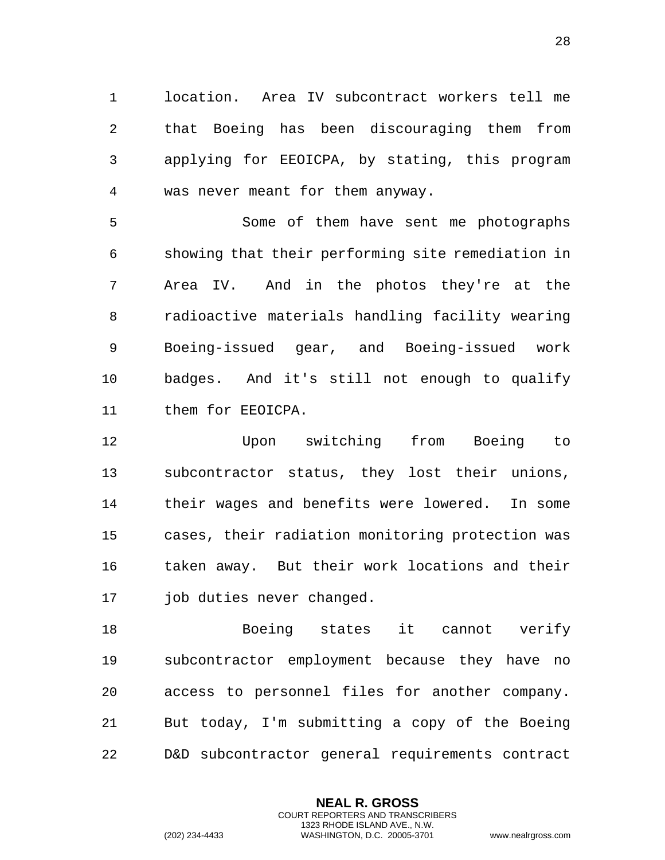location. Area IV subcontract workers tell me that Boeing has been discouraging them from applying for EEOICPA, by stating, this program was never meant for them anyway.

 Some of them have sent me photographs showing that their performing site remediation in Area IV. And in the photos they're at the radioactive materials handling facility wearing Boeing-issued gear, and Boeing-issued work badges. And it's still not enough to qualify them for EEOICPA.

 Upon switching from Boeing to subcontractor status, they lost their unions, their wages and benefits were lowered. In some cases, their radiation monitoring protection was taken away. But their work locations and their job duties never changed.

 Boeing states it cannot verify subcontractor employment because they have no access to personnel files for another company. But today, I'm submitting a copy of the Boeing D&D subcontractor general requirements contract

> **NEAL R. GROSS** COURT REPORTERS AND TRANSCRIBERS 1323 RHODE ISLAND AVE., N.W.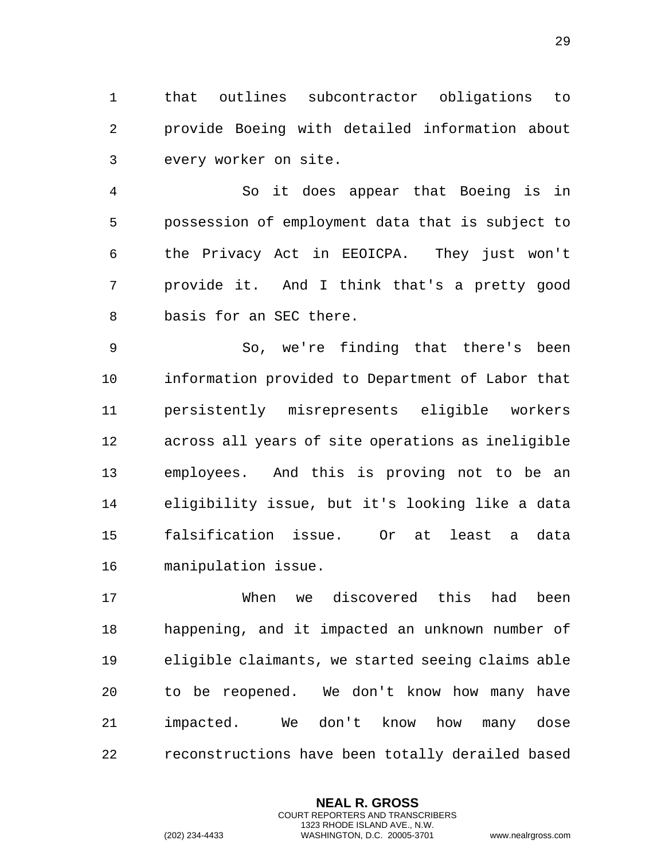1 that outlines subcontractor obligations to 2 provide Boeing with detailed information about 3 every worker on site.

4 So it does appear that Boeing is in 5 possession of employment data that is subject to 6 the Privacy Act in EEOICPA. They just won't 7 provide it. And I think that's a pretty good 8 basis for an SEC there.

9 So, we're finding that there's been 10 information provided to Department of Labor that 11 persistently misrepresents eligible workers 12 across all years of site operations as ineligible 13 employees. And this is proving not to be an 14 eligibility issue, but it's looking like a data 15 falsification issue. Or at least a data 16 manipulation issue.

17 When we discovered this had been 18 happening, and it impacted an unknown number of 19 eligible claimants, we started seeing claims able 20 to be reopened. We don't know how many have 21 impacted. We don't know how many dose 22 reconstructions have been totally derailed based

> **NEAL R. GROSS** COURT REPORTERS AND TRANSCRIBERS 1323 RHODE ISLAND AVE., N.W.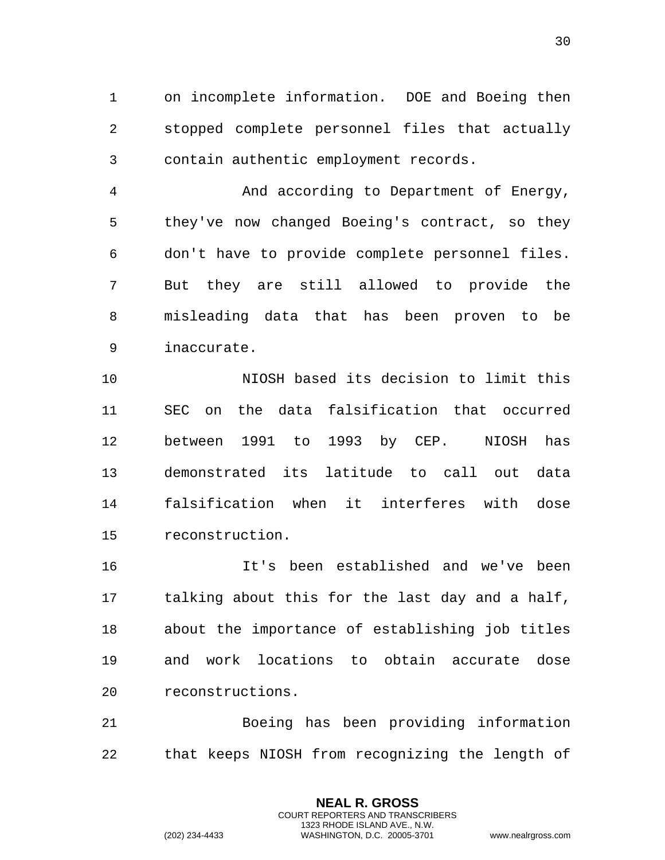on incomplete information. DOE and Boeing then stopped complete personnel files that actually contain authentic employment records.

 And according to Department of Energy, they've now changed Boeing's contract, so they don't have to provide complete personnel files. But they are still allowed to provide the misleading data that has been proven to be inaccurate.

 NIOSH based its decision to limit this SEC on the data falsification that occurred between 1991 to 1993 by CEP. NIOSH has demonstrated its latitude to call out data falsification when it interferes with dose reconstruction.

 It's been established and we've been talking about this for the last day and a half, about the importance of establishing job titles and work locations to obtain accurate dose reconstructions.

 Boeing has been providing information that keeps NIOSH from recognizing the length of

> **NEAL R. GROSS** COURT REPORTERS AND TRANSCRIBERS 1323 RHODE ISLAND AVE., N.W.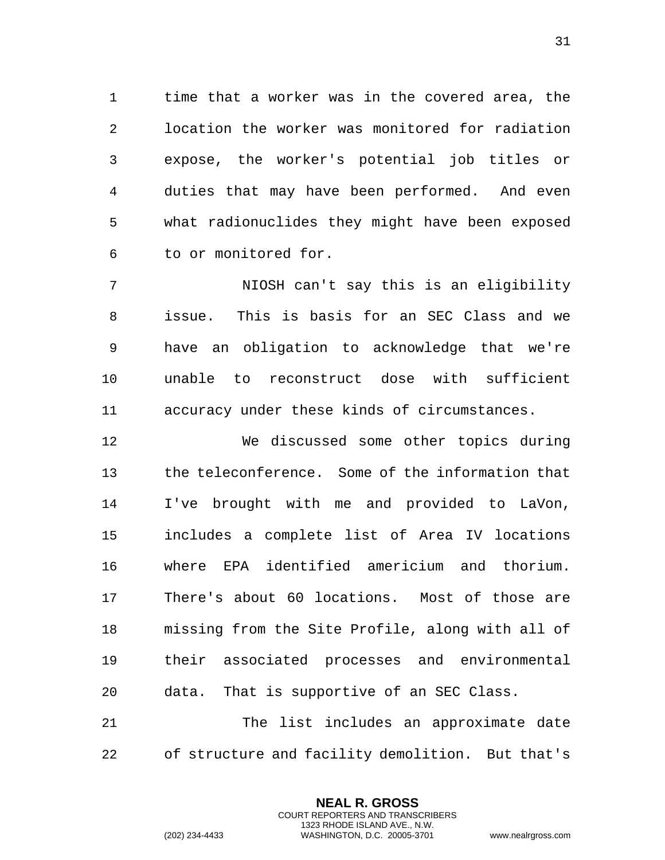time that a worker was in the covered area, the location the worker was monitored for radiation expose, the worker's potential job titles or duties that may have been performed. And even what radionuclides they might have been exposed to or monitored for.

 NIOSH can't say this is an eligibility issue. This is basis for an SEC Class and we have an obligation to acknowledge that we're unable to reconstruct dose with sufficient accuracy under these kinds of circumstances.

 We discussed some other topics during the teleconference. Some of the information that I've brought with me and provided to LaVon, includes a complete list of Area IV locations where EPA identified americium and thorium. There's about 60 locations. Most of those are missing from the Site Profile, along with all of their associated processes and environmental data. That is supportive of an SEC Class. The list includes an approximate date

of structure and facility demolition. But that's

**NEAL R. GROSS** COURT REPORTERS AND TRANSCRIBERS 1323 RHODE ISLAND AVE., N.W.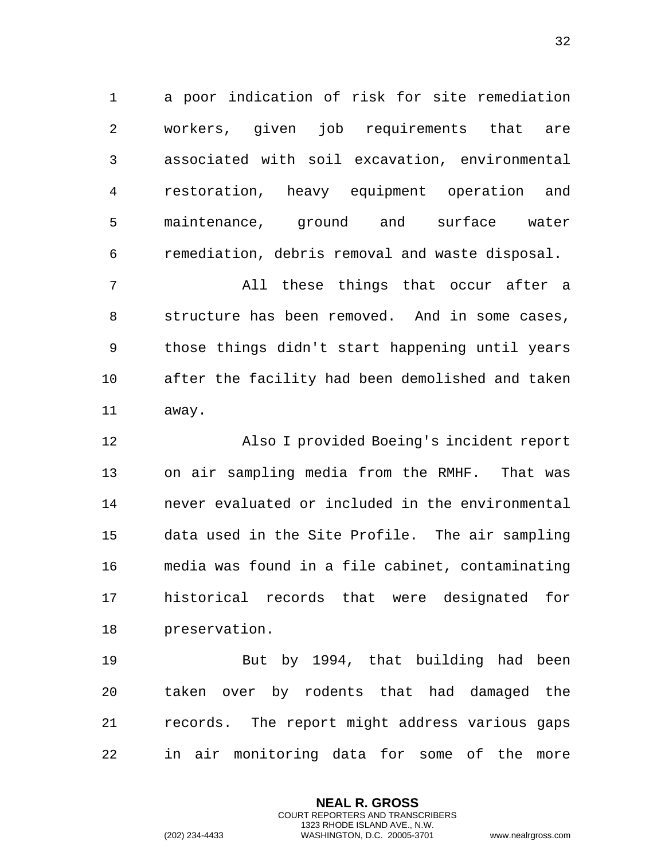1 a poor indication of risk for site remediation 2 workers, given job requirements that are 3 associated with soil excavation, environmental 4 restoration, heavy equipment operation and 5 maintenance, ground and surface water 6 remediation, debris removal and waste disposal.

7 All these things that occur after a 8 structure has been removed. And in some cases, 9 those things didn't start happening until years 10 after the facility had been demolished and taken 11 away.

12 Also I provided Boeing's incident report 13 on air sampling media from the RMHF. That was 14 never evaluated or included in the environmental 15 data used in the Site Profile. The air sampling 16 media was found in a file cabinet, contaminating 17 historical records that were designated for 18 preservation.

19 But by 1994, that building had been 20 taken over by rodents that had damaged the 21 records. The report might address various gaps 22 in air monitoring data for some of the more

> **NEAL R. GROSS** COURT REPORTERS AND TRANSCRIBERS 1323 RHODE ISLAND AVE., N.W.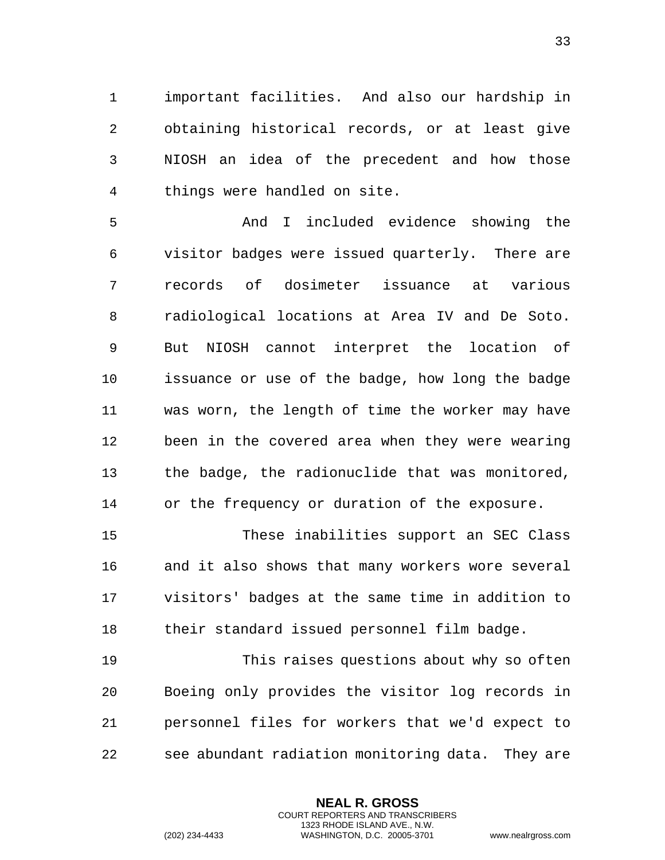1 important facilities. And also our hardship in 2 obtaining historical records, or at least give 3 NIOSH an idea of the precedent and how those 4 things were handled on site.

5 And I included evidence showing the 6 visitor badges were issued quarterly. There are 7 records of dosimeter issuance at various 8 radiological locations at Area IV and De Soto. 9 But NIOSH cannot interpret the location of 10 issuance or use of the badge, how long the badge 11 was worn, the length of time the worker may have 12 been in the covered area when they were wearing 13 the badge, the radionuclide that was monitored, 14 or the frequency or duration of the exposure.

15 These inabilities support an SEC Class 16 and it also shows that many workers wore several 17 visitors' badges at the same time in addition to 18 their standard issued personnel film badge.

19 This raises questions about why so often 20 Boeing only provides the visitor log records in 21 personnel files for workers that we'd expect to 22 see abundant radiation monitoring data. They are

> **NEAL R. GROSS** COURT REPORTERS AND TRANSCRIBERS 1323 RHODE ISLAND AVE., N.W.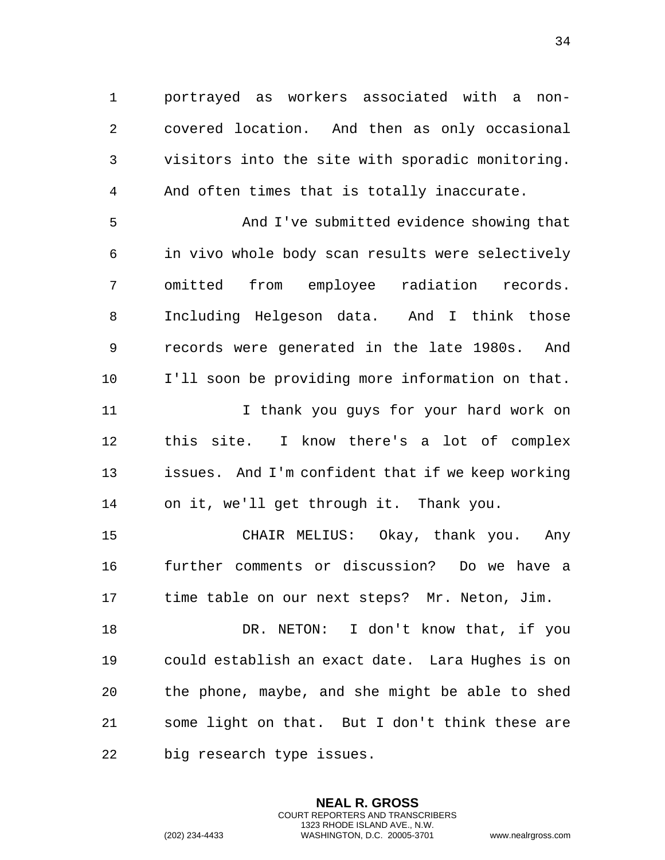1 portrayed as workers associated with a non-2 covered location. And then as only occasional 3 visitors into the site with sporadic monitoring. 4 And often times that is totally inaccurate.

5 And I've submitted evidence showing that 6 in vivo whole body scan results were selectively 7 omitted from employee radiation records. 8 Including Helgeson data. And I think those 9 records were generated in the late 1980s. And 10 I'll soon be providing more information on that. 11 I thank you guys for your hard work on 12 this site. I know there's a lot of complex 13 issues. And I'm confident that if we keep working 14 on it, we'll get through it. Thank you.

15 CHAIR MELIUS: Okay, thank you. Any 16 further comments or discussion? Do we have a 17 time table on our next steps? Mr. Neton, Jim.

18 DR. NETON: I don't know that, if you 19 could establish an exact date. Lara Hughes is on 20 the phone, maybe, and she might be able to shed 21 some light on that. But I don't think these are 22 big research type issues.

> **NEAL R. GROSS** COURT REPORTERS AND TRANSCRIBERS 1323 RHODE ISLAND AVE., N.W.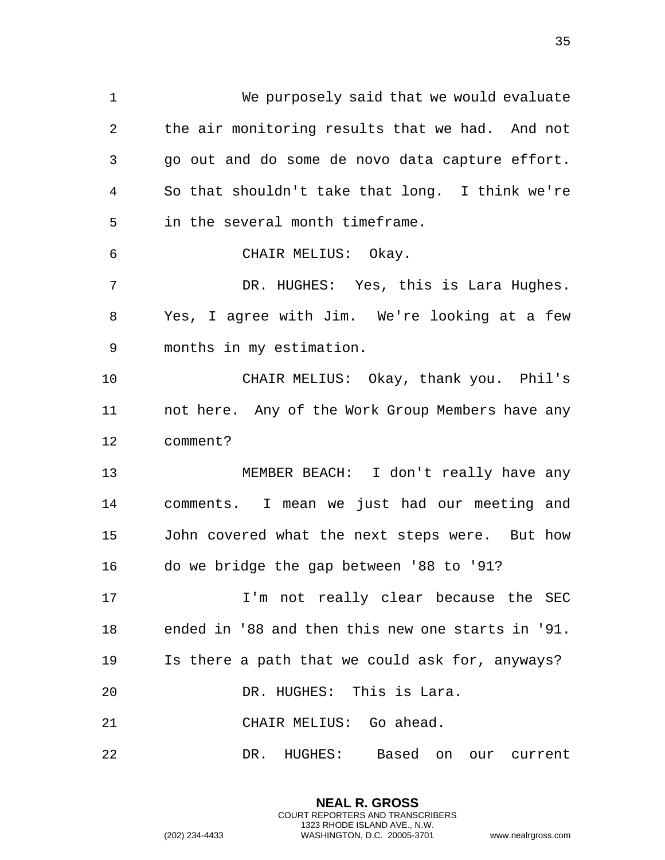1 We purposely said that we would evaluate 2 the air monitoring results that we had. And not 3 go out and do some de novo data capture effort. 4 So that shouldn't take that long. I think we're 5 in the several month timeframe. 6 CHAIR MELIUS: Okay. 7 DR. HUGHES: Yes, this is Lara Hughes. 8 Yes, I agree with Jim. We're looking at a few 9 months in my estimation. 10 CHAIR MELIUS: Okay, thank you. Phil's 11 not here. Any of the Work Group Members have any 12 comment? 13 MEMBER BEACH: I don't really have any 14 comments. I mean we just had our meeting and 15 John covered what the next steps were. But how 16 do we bridge the gap between '88 to '91? 17 17 I'm not really clear because the SEC 18 ended in '88 and then this new one starts in '91. 19 Is there a path that we could ask for, anyways? 20 DR. HUGHES: This is Lara. 21 CHAIR MELIUS: Go ahead. 22 DR. HUGHES: Based on our current

> **NEAL R. GROSS** COURT REPORTERS AND TRANSCRIBERS 1323 RHODE ISLAND AVE., N.W.

(202) 234-4433 WASHINGTON, D.C. 20005-3701 www.nealrgross.com

35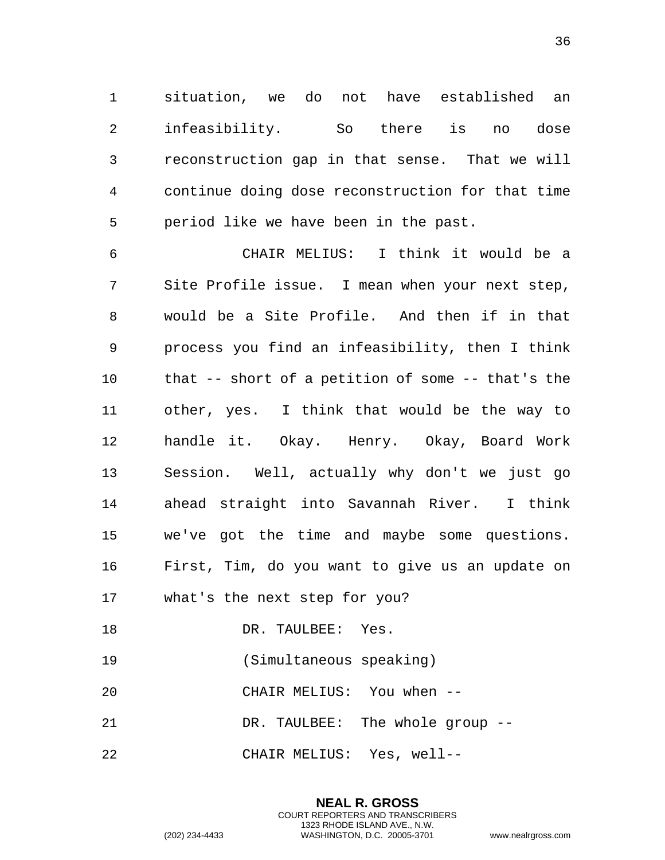1 situation, we do not have established an 2 infeasibility. So there is no dose 3 reconstruction gap in that sense. That we will 4 continue doing dose reconstruction for that time 5 period like we have been in the past.

6 CHAIR MELIUS: I think it would be a 7 Site Profile issue. I mean when your next step, 8 would be a Site Profile. And then if in that 9 process you find an infeasibility, then I think 10 that -- short of a petition of some -- that's the 11 other, yes. I think that would be the way to 12 handle it. Okay. Henry. Okay, Board Work 13 Session. Well, actually why don't we just go 14 ahead straight into Savannah River. I think 15 we've got the time and maybe some questions. 16 First, Tim, do you want to give us an update on 17 what's the next step for you?

- 18 DR. TAULBEE: Yes.
- 19 (Simultaneous speaking)
- 20 CHAIR MELIUS: You when --
- 21 DR. TAULBEE: The whole group --
- 22 CHAIR MELIUS: Yes, well--

**NEAL R. GROSS** COURT REPORTERS AND TRANSCRIBERS 1323 RHODE ISLAND AVE., N.W. (202) 234-4433 WASHINGTON, D.C. 20005-3701 www.nealrgross.com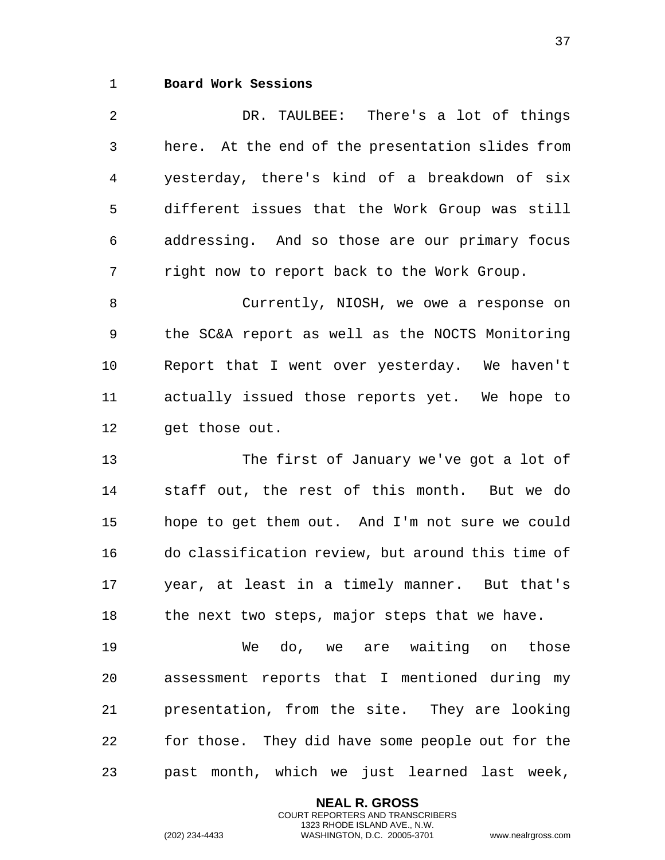## <span id="page-36-0"></span>1 **Board Work Sessions**

2 DR. TAULBEE: There's a lot of things 3 here. At the end of the presentation slides from 4 yesterday, there's kind of a breakdown of six 5 different issues that the Work Group was still 6 addressing. And so those are our primary focus 7 right now to report back to the Work Group. 8 Currently, NIOSH, we owe a response on 9 the SC&A report as well as the NOCTS Monitoring 10 Report that I went over yesterday. We haven't 11 actually issued those reports yet. We hope to 12 get those out. 13 The first of January we've got a lot of 14 staff out, the rest of this month. But we do 15 hope to get them out. And I'm not sure we could 16 do classification review, but around this time of 17 year, at least in a timely manner. But that's

18 the next two steps, major steps that we have.

19 We do, we are waiting on those 20 assessment reports that I mentioned during my 21 presentation, from the site. They are looking 22 for those. They did have some people out for the 23 past month, which we just learned last week,

> **NEAL R. GROSS** COURT REPORTERS AND TRANSCRIBERS 1323 RHODE ISLAND AVE., N.W.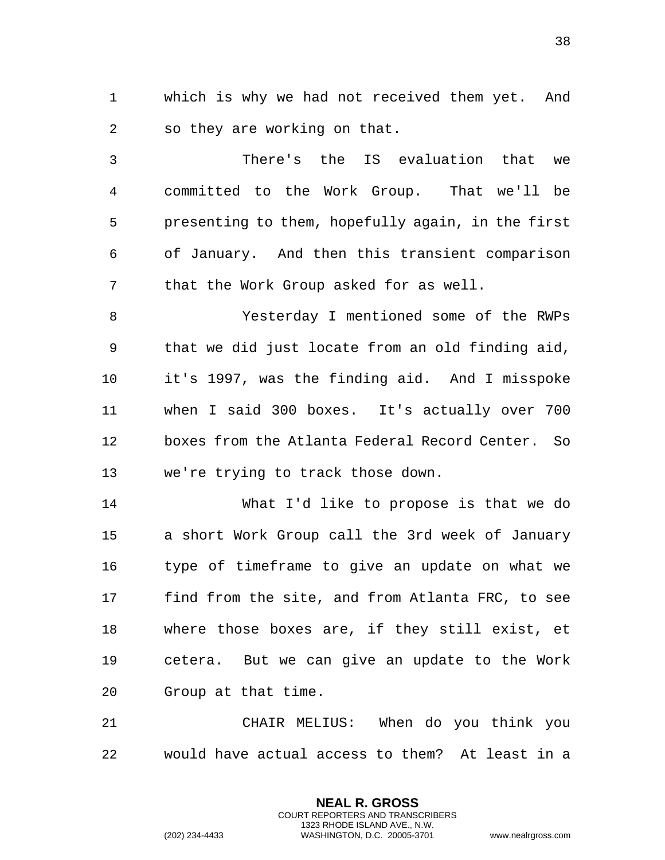1 which is why we had not received them yet. And 2 so they are working on that.

3 There's the IS evaluation that we 4 committed to the Work Group. That we'll be 5 presenting to them, hopefully again, in the first 6 of January. And then this transient comparison 7 that the Work Group asked for as well.

8 Yesterday I mentioned some of the RWPs 9 that we did just locate from an old finding aid, 10 it's 1997, was the finding aid. And I misspoke 11 when I said 300 boxes. It's actually over 700 12 boxes from the Atlanta Federal Record Center. So 13 we're trying to track those down.

14 What I'd like to propose is that we do 15 a short Work Group call the 3rd week of January 16 type of timeframe to give an update on what we 17 find from the site, and from Atlanta FRC, to see 18 where those boxes are, if they still exist, et 19 cetera. But we can give an update to the Work 20 Group at that time.

21 CHAIR MELIUS: When do you think you 22 would have actual access to them? At least in a

> **NEAL R. GROSS** COURT REPORTERS AND TRANSCRIBERS 1323 RHODE ISLAND AVE., N.W.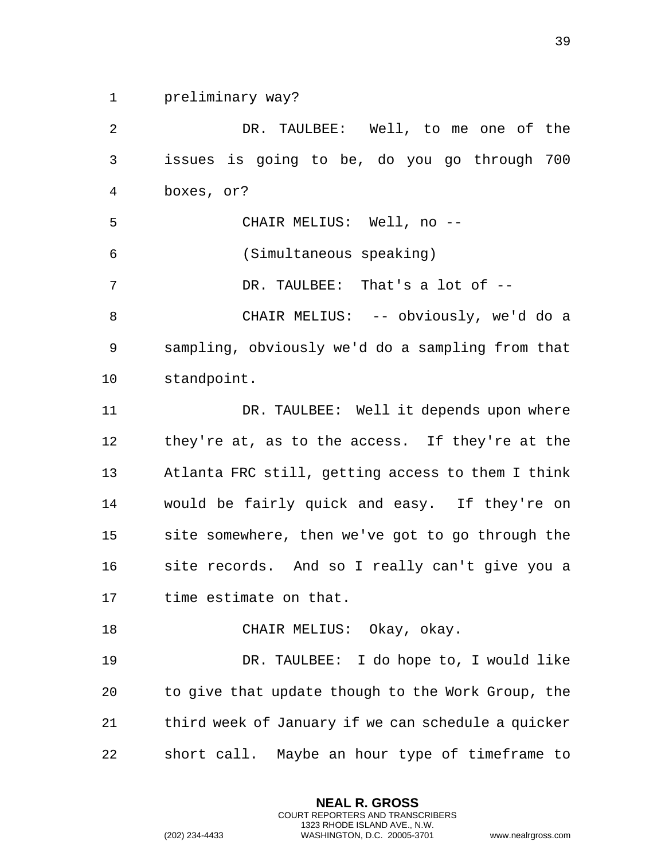1 preliminary way?

2 DR. TAULBEE: Well, to me one of the 3 issues is going to be, do you go through 700 4 boxes, or? 5 CHAIR MELIUS: Well, no -- 6 (Simultaneous speaking) 7 DR. TAULBEE: That's a lot of  $-$ 8 CHAIR MELIUS: -- obviously, we'd do a 9 sampling, obviously we'd do a sampling from that 10 standpoint. 11 DR. TAULBEE: Well it depends upon where 12 they're at, as to the access. If they're at the 13 Atlanta FRC still, getting access to them I think 14 would be fairly quick and easy. If they're on 15 site somewhere, then we've got to go through the 16 site records. And so I really can't give you a 17 time estimate on that. 18 CHAIR MELIUS: Okay, okay. 19 DR. TAULBEE: I do hope to, I would like 20 to give that update though to the Work Group, the 21 third week of January if we can schedule a quicker 22 short call. Maybe an hour type of timeframe to

> **NEAL R. GROSS** COURT REPORTERS AND TRANSCRIBERS 1323 RHODE ISLAND AVE., N.W.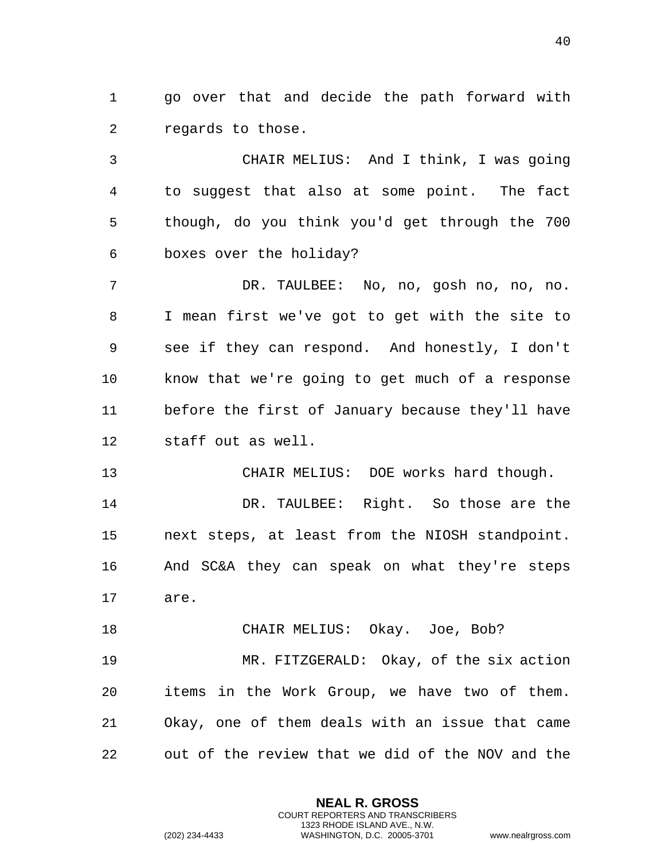1 go over that and decide the path forward with 2 regards to those.

3 CHAIR MELIUS: And I think, I was going 4 to suggest that also at some point. The fact 5 though, do you think you'd get through the 700 6 boxes over the holiday?

7 DR. TAULBEE: No, no, gosh no, no, no. 8 I mean first we've got to get with the site to 9 see if they can respond. And honestly, I don't 10 know that we're going to get much of a response 11 before the first of January because they'll have 12 staff out as well.

13 CHAIR MELIUS: DOE works hard though. 14 DR. TAULBEE: Right. So those are the 15 next steps, at least from the NIOSH standpoint. 16 And SC&A they can speak on what they're steps 17 are.

18 CHAIR MELIUS: Okay. Joe, Bob? 19 MR. FITZGERALD: Okay, of the six action 20 items in the Work Group, we have two of them. 21 Okay, one of them deals with an issue that came 22 out of the review that we did of the NOV and the

> **NEAL R. GROSS** COURT REPORTERS AND TRANSCRIBERS 1323 RHODE ISLAND AVE., N.W.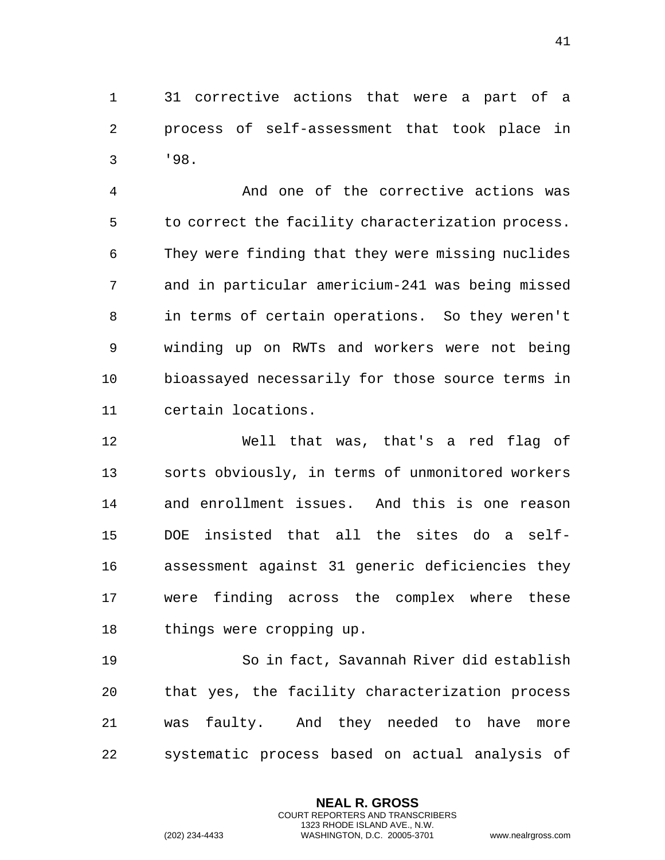1 31 corrective actions that were a part of a 2 process of self-assessment that took place in 3 '98.

4 And one of the corrective actions was 5 to correct the facility characterization process. 6 They were finding that they were missing nuclides 7 and in particular americium-241 was being missed 8 in terms of certain operations. So they weren't 9 winding up on RWTs and workers were not being 10 bioassayed necessarily for those source terms in 11 certain locations.

12 Well that was, that's a red flag of 13 sorts obviously, in terms of unmonitored workers 14 and enrollment issues. And this is one reason 15 DOE insisted that all the sites do a self-16 assessment against 31 generic deficiencies they 17 were finding across the complex where these 18 things were cropping up.

19 So in fact, Savannah River did establish 20 that yes, the facility characterization process 21 was faulty. And they needed to have more 22 systematic process based on actual analysis of

> **NEAL R. GROSS** COURT REPORTERS AND TRANSCRIBERS 1323 RHODE ISLAND AVE., N.W.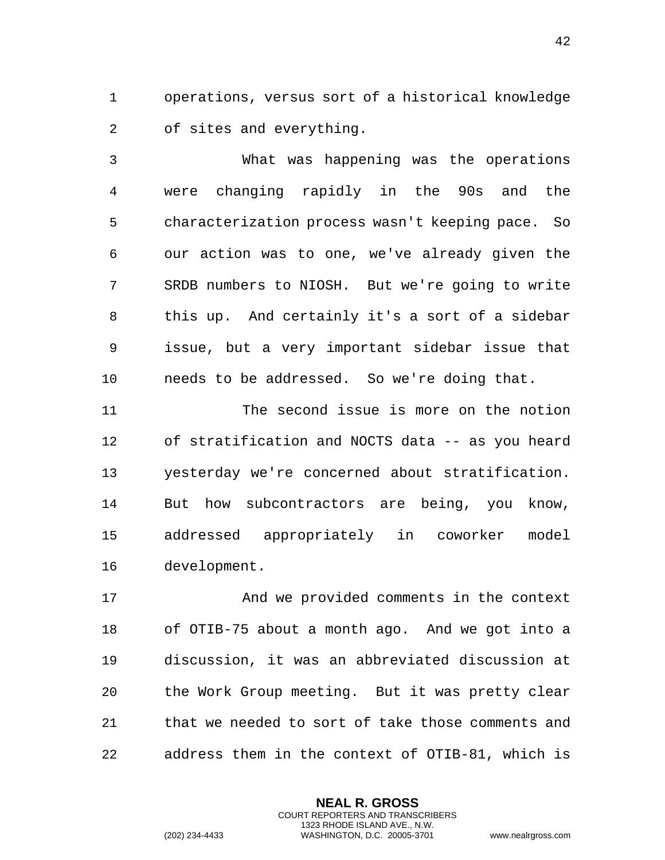1 operations, versus sort of a historical knowledge 2 of sites and everything.

3 What was happening was the operations 4 were changing rapidly in the 90s and the 5 characterization process wasn't keeping pace. So 6 our action was to one, we've already given the 7 SRDB numbers to NIOSH. But we're going to write 8 this up. And certainly it's a sort of a sidebar 9 issue, but a very important sidebar issue that 10 needs to be addressed. So we're doing that.

11 The second issue is more on the notion 12 of stratification and NOCTS data -- as you heard 13 yesterday we're concerned about stratification. 14 But how subcontractors are being, you know, 15 addressed appropriately in coworker model 16 development.

17 And we provided comments in the context 18 of OTIB-75 about a month ago. And we got into a 19 discussion, it was an abbreviated discussion at 20 the Work Group meeting. But it was pretty clear 21 that we needed to sort of take those comments and 22 address them in the context of OTIB-81, which is

> **NEAL R. GROSS** COURT REPORTERS AND TRANSCRIBERS 1323 RHODE ISLAND AVE., N.W.

(202) 234-4433 WASHINGTON, D.C. 20005-3701 www.nealrgross.com

42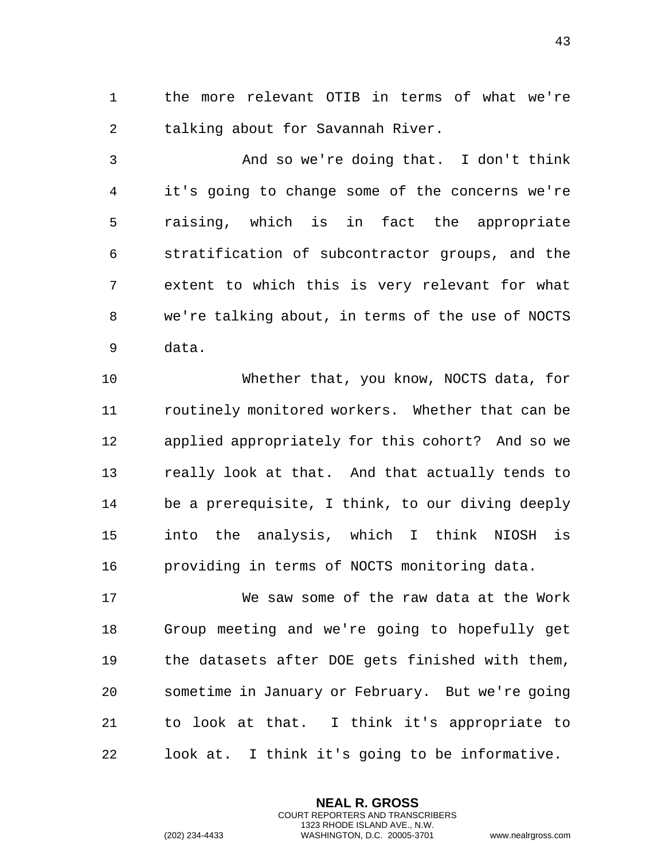1 the more relevant OTIB in terms of what we're 2 talking about for Savannah River.

3 And so we're doing that. I don't think 4 it's going to change some of the concerns we're 5 raising, which is in fact the appropriate 6 stratification of subcontractor groups, and the 7 extent to which this is very relevant for what 8 we're talking about, in terms of the use of NOCTS 9 data.

10 Whether that, you know, NOCTS data, for 11 routinely monitored workers. Whether that can be 12 applied appropriately for this cohort? And so we 13 really look at that. And that actually tends to 14 be a prerequisite, I think, to our diving deeply 15 into the analysis, which I think NIOSH is 16 providing in terms of NOCTS monitoring data.

17 We saw some of the raw data at the Work 18 Group meeting and we're going to hopefully get 19 the datasets after DOE gets finished with them, 20 sometime in January or February. But we're going 21 to look at that. I think it's appropriate to 22 look at. I think it's going to be informative.

> **NEAL R. GROSS** COURT REPORTERS AND TRANSCRIBERS 1323 RHODE ISLAND AVE., N.W.

(202) 234-4433 WASHINGTON, D.C. 20005-3701 www.nealrgross.com

43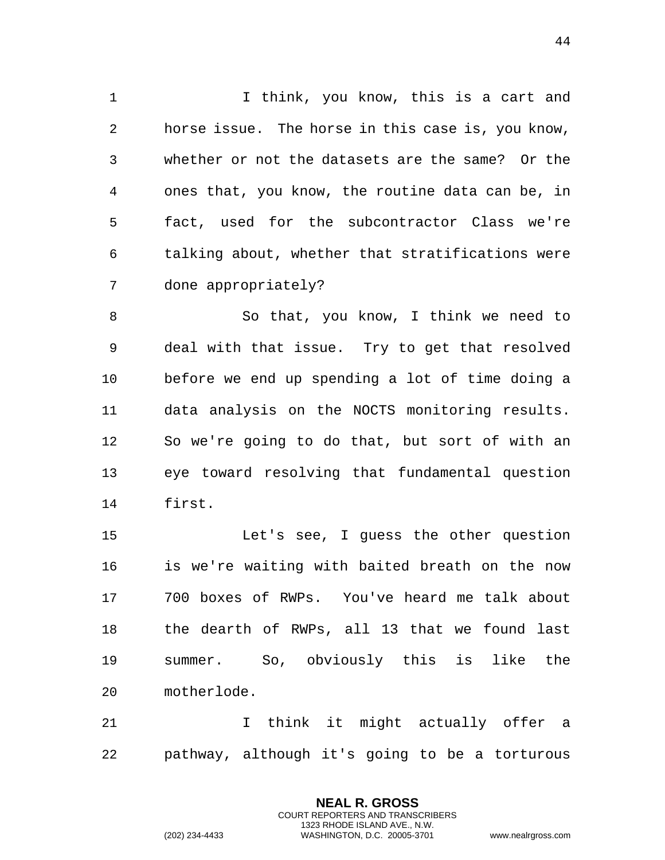1 I think, you know, this is a cart and 2 horse issue. The horse in this case is, you know, 3 whether or not the datasets are the same? Or the 4 ones that, you know, the routine data can be, in 5 fact, used for the subcontractor Class we're 6 talking about, whether that stratifications were 7 done appropriately?

8 So that, you know, I think we need to 9 deal with that issue. Try to get that resolved 10 before we end up spending a lot of time doing a 11 data analysis on the NOCTS monitoring results. 12 So we're going to do that, but sort of with an 13 eye toward resolving that fundamental question 14 first.

15 Let's see, I guess the other question 16 is we're waiting with baited breath on the now 17 700 boxes of RWPs. You've heard me talk about 18 the dearth of RWPs, all 13 that we found last 19 summer. So, obviously this is like the 20 motherlode.

21 I think it might actually offer a 22 pathway, although it's going to be a torturous

> **NEAL R. GROSS** COURT REPORTERS AND TRANSCRIBERS 1323 RHODE ISLAND AVE., N.W.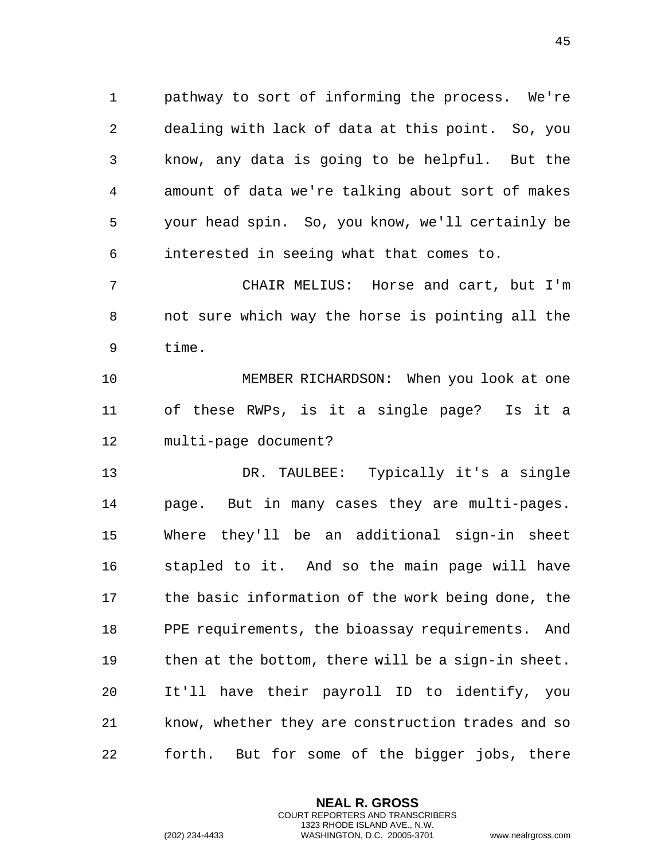1 pathway to sort of informing the process. We're 2 dealing with lack of data at this point. So, you 3 know, any data is going to be helpful. But the 4 amount of data we're talking about sort of makes 5 your head spin. So, you know, we'll certainly be 6 interested in seeing what that comes to.

7 CHAIR MELIUS: Horse and cart, but I'm 8 not sure which way the horse is pointing all the 9 time.

10 MEMBER RICHARDSON: When you look at one 11 of these RWPs, is it a single page? Is it a 12 multi-page document?

13 DR. TAULBEE: Typically it's a single 14 page. But in many cases they are multi-pages. 15 Where they'll be an additional sign-in sheet 16 stapled to it. And so the main page will have 17 the basic information of the work being done, the 18 PPE requirements, the bioassay requirements. And 19 then at the bottom, there will be a sign-in sheet. 20 It'll have their payroll ID to identify, you 21 know, whether they are construction trades and so 22 forth. But for some of the bigger jobs, there

> **NEAL R. GROSS** COURT REPORTERS AND TRANSCRIBERS 1323 RHODE ISLAND AVE., N.W.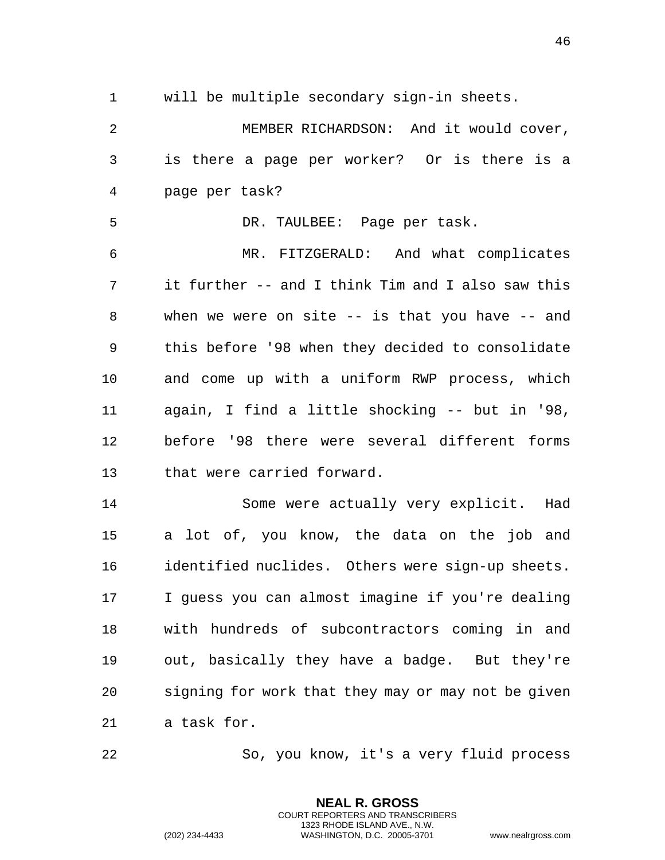1 will be multiple secondary sign-in sheets.

2 MEMBER RICHARDSON: And it would cover, 3 is there a page per worker? Or is there is a 4 page per task?

5 DR. TAULBEE: Page per task.

6 MR. FITZGERALD: And what complicates 7 it further -- and I think Tim and I also saw this 8 when we were on site -- is that you have -- and 9 this before '98 when they decided to consolidate 10 and come up with a uniform RWP process, which 11 again, I find a little shocking -- but in '98, 12 before '98 there were several different forms 13 that were carried forward.

14 Some were actually very explicit. Had 15 a lot of, you know, the data on the job and 16 identified nuclides. Others were sign-up sheets. 17 I guess you can almost imagine if you're dealing 18 with hundreds of subcontractors coming in and 19 out, basically they have a badge. But they're 20 signing for work that they may or may not be given 21 a task for.

22 So, you know, it's a very fluid process

**NEAL R. GROSS** COURT REPORTERS AND TRANSCRIBERS 1323 RHODE ISLAND AVE., N.W.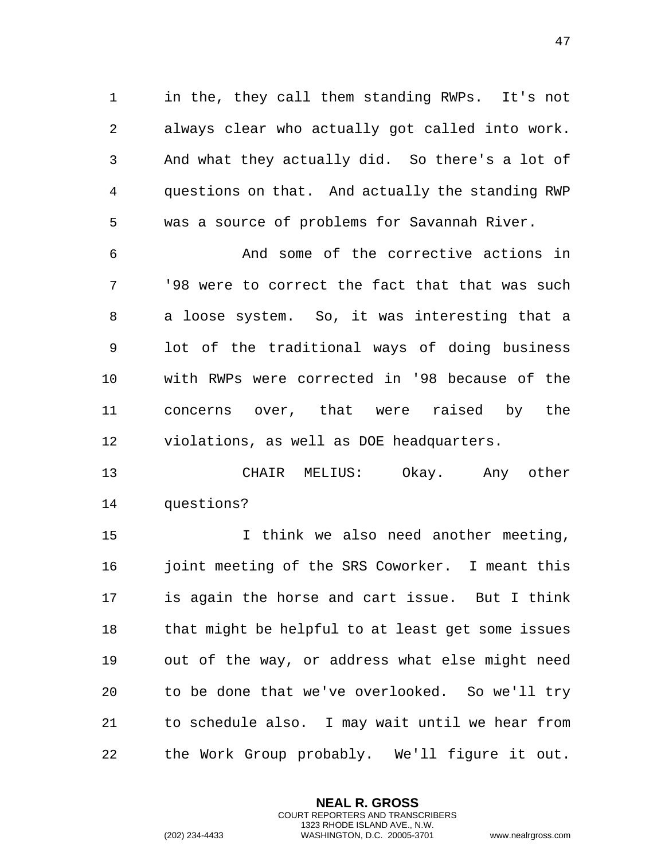1 in the, they call them standing RWPs. It's not 2 always clear who actually got called into work. 3 And what they actually did. So there's a lot of 4 questions on that. And actually the standing RWP 5 was a source of problems for Savannah River.

6 And some of the corrective actions in 7 '98 were to correct the fact that that was such 8 a loose system. So, it was interesting that a 9 lot of the traditional ways of doing business 10 with RWPs were corrected in '98 because of the 11 concerns over, that were raised by the 12 violations, as well as DOE headquarters.

13 CHAIR MELIUS: Okay. Any other 14 questions?

15 I think we also need another meeting, 16 joint meeting of the SRS Coworker. I meant this 17 is again the horse and cart issue. But I think 18 that might be helpful to at least get some issues 19 out of the way, or address what else might need 20 to be done that we've overlooked. So we'll try 21 to schedule also. I may wait until we hear from 22 the Work Group probably. We'll figure it out.

> **NEAL R. GROSS** COURT REPORTERS AND TRANSCRIBERS 1323 RHODE ISLAND AVE., N.W.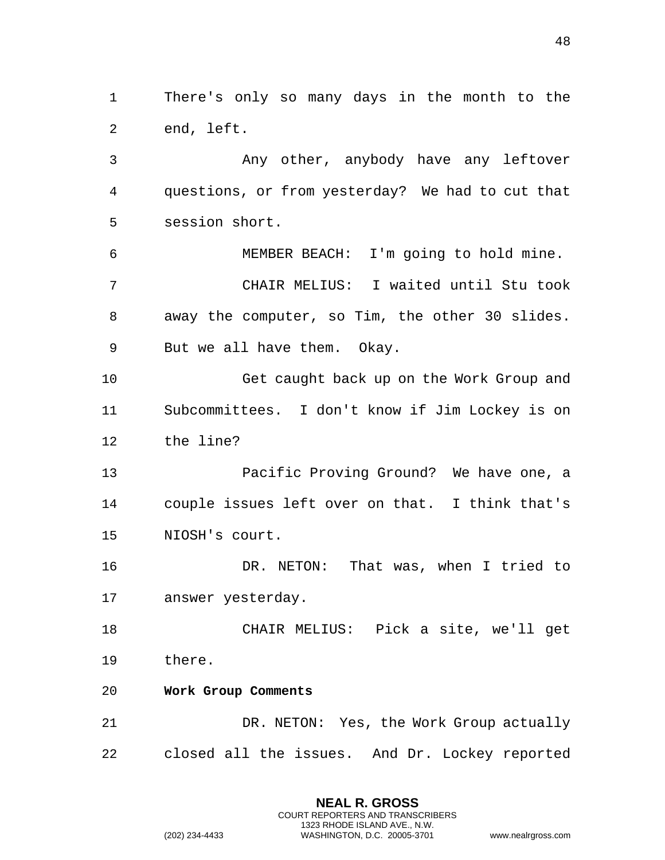1 There's only so many days in the month to the 2 end, left.

3 Any other, anybody have any leftover 4 questions, or from yesterday? We had to cut that 5 session short.

6 MEMBER BEACH: I'm going to hold mine. 7 CHAIR MELIUS: I waited until Stu took 8 away the computer, so Tim, the other 30 slides. 9 But we all have them. Okay.

10 Get caught back up on the Work Group and 11 Subcommittees. I don't know if Jim Lockey is on 12 the line?

13 Pacific Proving Ground? We have one, a 14 couple issues left over on that. I think that's 15 NIOSH's court.

16 DR. NETON: That was, when I tried to 17 answer yesterday.

18 CHAIR MELIUS: Pick a site, we'll get 19 there.

<span id="page-47-0"></span>20 **Work Group Comments** 

21 DR. NETON: Yes, the Work Group actually 22 closed all the issues. And Dr. Lockey reported

> **NEAL R. GROSS** COURT REPORTERS AND TRANSCRIBERS 1323 RHODE ISLAND AVE., N.W.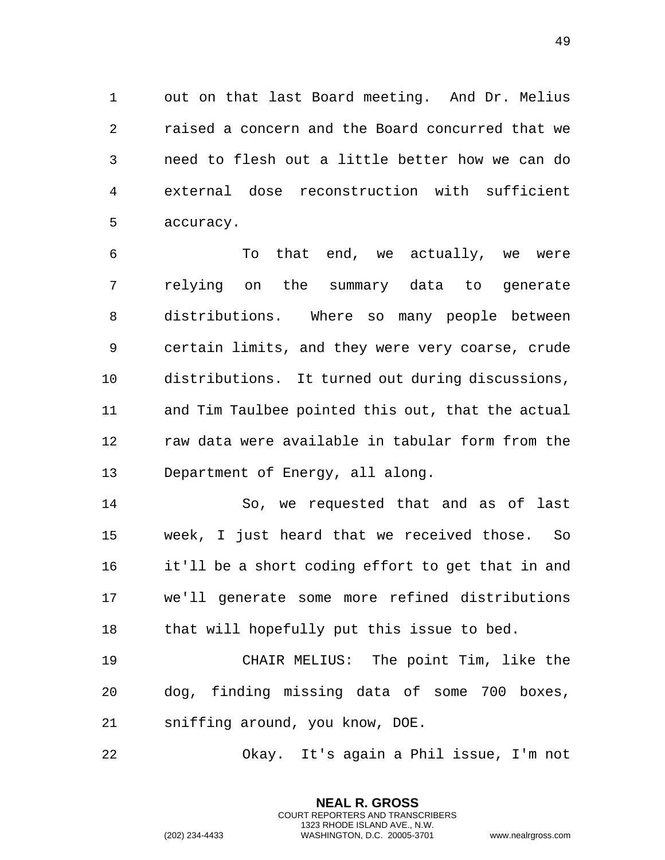1 out on that last Board meeting. And Dr. Melius 2 raised a concern and the Board concurred that we 3 need to flesh out a little better how we can do 4 external dose reconstruction with sufficient 5 accuracy.

6 To that end, we actually, we were 7 relying on the summary data to generate 8 distributions. Where so many people between 9 certain limits, and they were very coarse, crude 10 distributions. It turned out during discussions, 11 and Tim Taulbee pointed this out, that the actual 12 raw data were available in tabular form from the 13 Department of Energy, all along.

14 So, we requested that and as of last 15 week, I just heard that we received those. So 16 it'll be a short coding effort to get that in and 17 we'll generate some more refined distributions 18 that will hopefully put this issue to bed.

19 CHAIR MELIUS: The point Tim, like the 20 dog, finding missing data of some 700 boxes, 21 sniffing around, you know, DOE.

22 Okay. It's again a Phil issue, I'm not

**NEAL R. GROSS** COURT REPORTERS AND TRANSCRIBERS 1323 RHODE ISLAND AVE., N.W.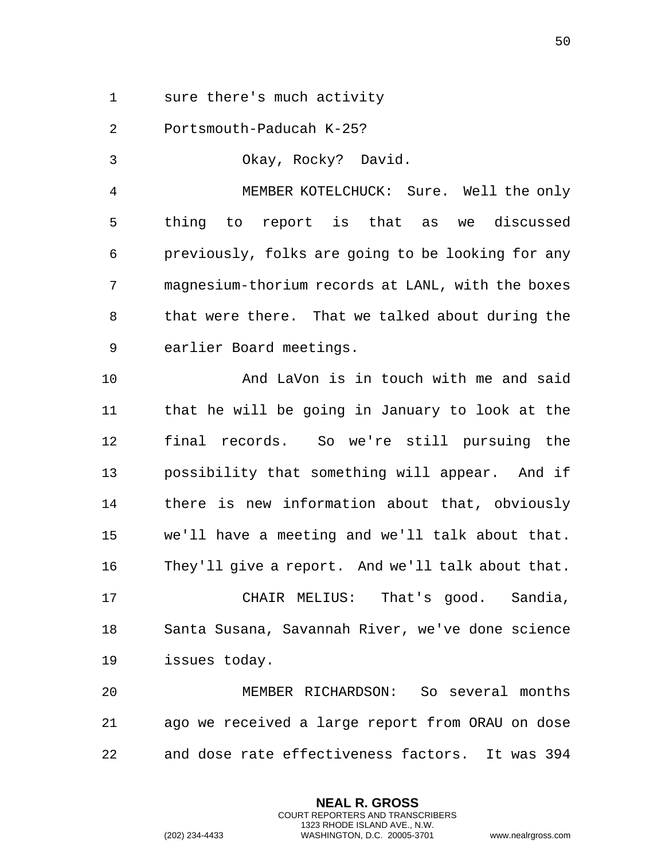1 sure there's much activity

2 Portsmouth-Paducah K-25?

3 Okay, Rocky? David.

4 MEMBER KOTELCHUCK: Sure. Well the only 5 thing to report is that as we discussed 6 previously, folks are going to be looking for any 7 magnesium-thorium records at LANL, with the boxes 8 that were there. That we talked about during the 9 earlier Board meetings.

10 And LaVon is in touch with me and said 11 that he will be going in January to look at the 12 final records. So we're still pursuing the 13 possibility that something will appear. And if 14 there is new information about that, obviously 15 we'll have a meeting and we'll talk about that. 16 They'll give a report. And we'll talk about that.

17 CHAIR MELIUS: That's good. Sandia, 18 Santa Susana, Savannah River, we've done science 19 issues today.

20 MEMBER RICHARDSON: So several months 21 ago we received a large report from ORAU on dose 22 and dose rate effectiveness factors. It was 394

> **NEAL R. GROSS** COURT REPORTERS AND TRANSCRIBERS 1323 RHODE ISLAND AVE., N.W.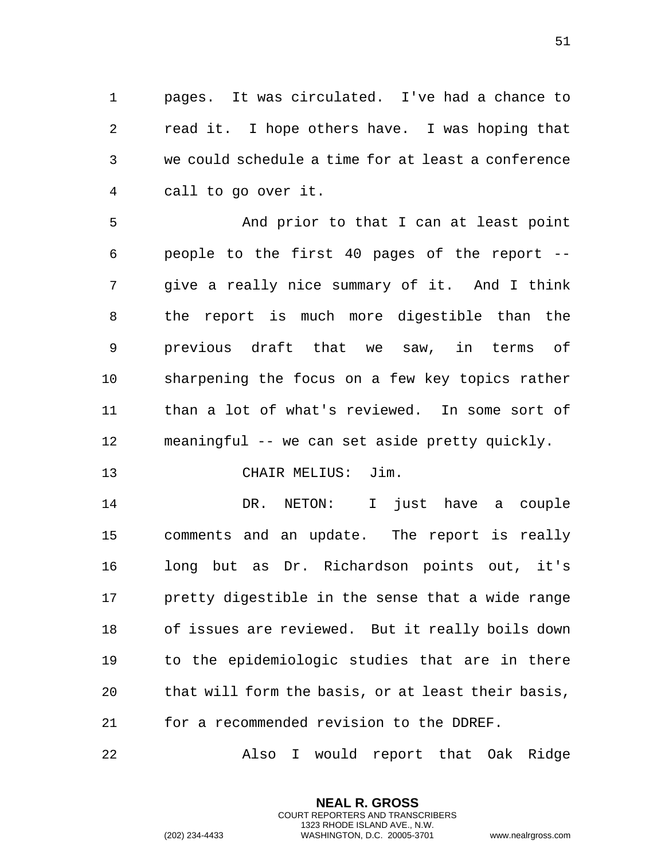1 pages. It was circulated. I've had a chance to 2 read it. I hope others have. I was hoping that 3 we could schedule a time for at least a conference 4 call to go over it.

5 And prior to that I can at least point 6 people to the first 40 pages of the report -- 7 give a really nice summary of it. And I think 8 the report is much more digestible than the 9 previous draft that we saw, in terms of 10 sharpening the focus on a few key topics rather 11 than a lot of what's reviewed. In some sort of 12 meaningful -- we can set aside pretty quickly.

13 CHAIR MELIUS: Jim.

14 DR. NETON: I just have a couple 15 comments and an update. The report is really 16 long but as Dr. Richardson points out, it's 17 pretty digestible in the sense that a wide range 18 of issues are reviewed. But it really boils down 19 to the epidemiologic studies that are in there 20 that will form the basis, or at least their basis, 21 for a recommended revision to the DDREF.

22 Also I would report that Oak Ridge

**NEAL R. GROSS** COURT REPORTERS AND TRANSCRIBERS 1323 RHODE ISLAND AVE., N.W.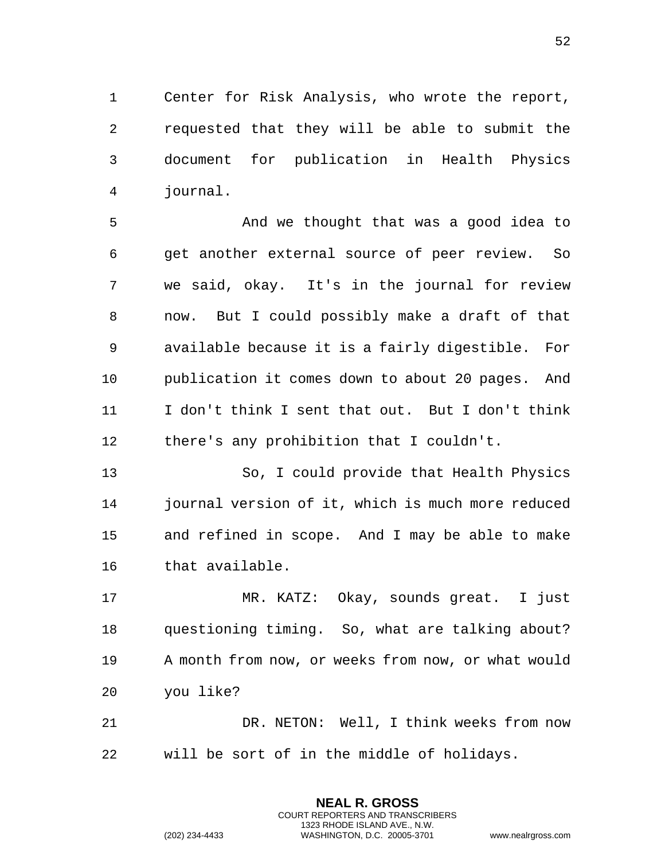1 Center for Risk Analysis, who wrote the report, 2 requested that they will be able to submit the 3 document for publication in Health Physics 4 journal.

5 And we thought that was a good idea to 6 get another external source of peer review. So 7 we said, okay. It's in the journal for review 8 now. But I could possibly make a draft of that 9 available because it is a fairly digestible. For 10 publication it comes down to about 20 pages. And 11 I don't think I sent that out. But I don't think 12 there's any prohibition that I couldn't.

13 So, I could provide that Health Physics 14 journal version of it, which is much more reduced 15 and refined in scope. And I may be able to make 16 that available.

17 MR. KATZ: Okay, sounds great. I just 18 questioning timing. So, what are talking about? 19 A month from now, or weeks from now, or what would 20 you like?

21 DR. NETON: Well, I think weeks from now 22 will be sort of in the middle of holidays.

> **NEAL R. GROSS** COURT REPORTERS AND TRANSCRIBERS 1323 RHODE ISLAND AVE., N.W.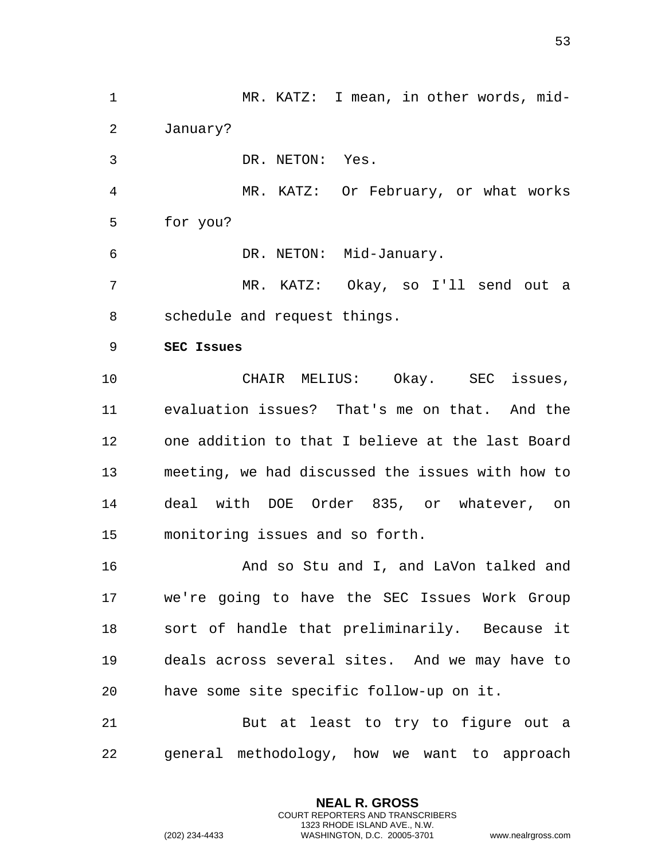<span id="page-52-0"></span>1 MR. KATZ: I mean, in other words, mid-2 January? 3 DR. NETON: Yes. 4 MR. KATZ: Or February, or what works 5 for you? 6 DR. NETON: Mid-January. 7 MR. KATZ: Okay, so I'll send out a 8 schedule and request things. 9 **SEC Issues**  10 CHAIR MELIUS: Okay. SEC issues, 11 evaluation issues? That's me on that. And the 12 one addition to that I believe at the last Board 13 meeting, we had discussed the issues with how to 14 deal with DOE Order 835, or whatever, on 15 monitoring issues and so forth. 16 And so Stu and I, and LaVon talked and 17 we're going to have the SEC Issues Work Group 18 sort of handle that preliminarily. Because it 19 deals across several sites. And we may have to 20 have some site specific follow-up on it. 21 But at least to try to figure out a 22 general methodology, how we want to approach

> **NEAL R. GROSS** COURT REPORTERS AND TRANSCRIBERS 1323 RHODE ISLAND AVE., N.W.

(202) 234-4433 WASHINGTON, D.C. 20005-3701 www.nealrgross.com

53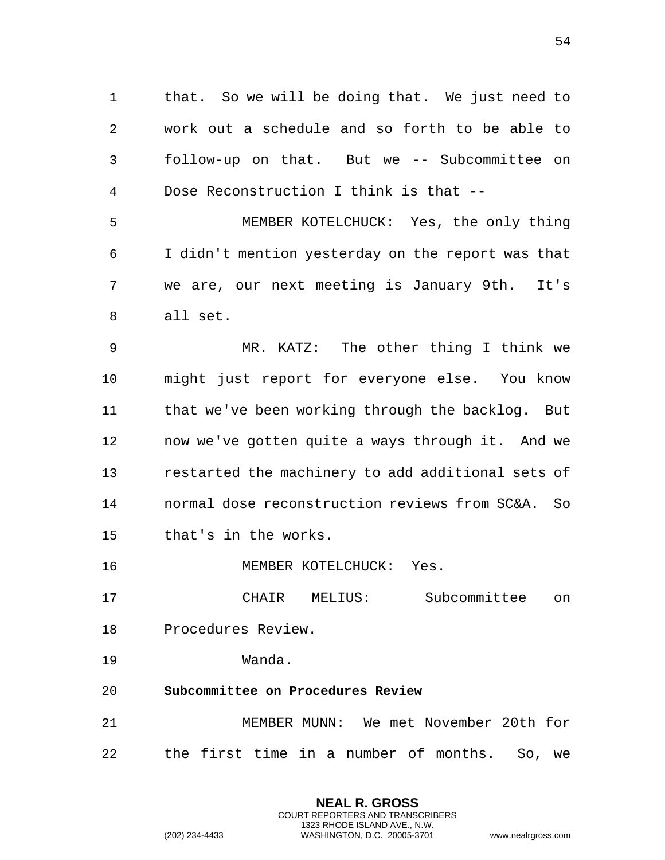1 that. So we will be doing that. We just need to 2 work out a schedule and so forth to be able to 3 follow-up on that. But we -- Subcommittee on 4 Dose Reconstruction I think is that --

5 MEMBER KOTELCHUCK: Yes, the only thing 6 I didn't mention yesterday on the report was that 7 we are, our next meeting is January 9th. It's 8 all set.

9 MR. KATZ: The other thing I think we 10 might just report for everyone else. You know 11 that we've been working through the backlog. But 12 now we've gotten quite a ways through it. And we 13 restarted the machinery to add additional sets of 14 normal dose reconstruction reviews from SC&A. So 15 that's in the works.

16 MEMBER KOTELCHUCK: Yes.

17 CHAIR MELIUS: Subcommittee on 18 Procedures Review.

- 19 Wanda.
- <span id="page-53-0"></span>20 **Subcommittee on Procedures Review**

21 MEMBER MUNN: We met November 20th for 22 the first time in a number of months. So, we

> **NEAL R. GROSS** COURT REPORTERS AND TRANSCRIBERS 1323 RHODE ISLAND AVE., N.W.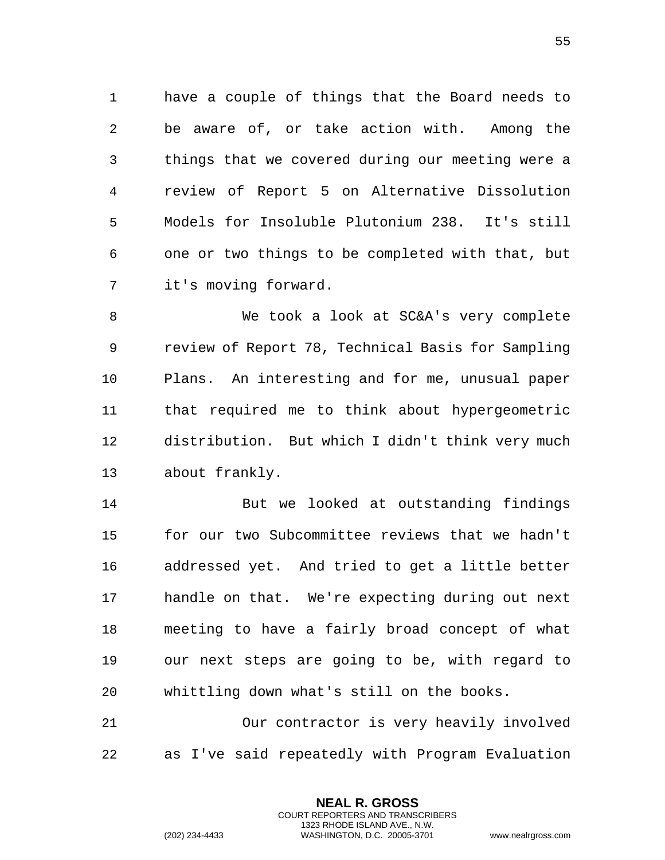1 have a couple of things that the Board needs to 2 be aware of, or take action with. Among the 3 things that we covered during our meeting were a 4 review of Report 5 on Alternative Dissolution 5 Models for Insoluble Plutonium 238. It's still 6 one or two things to be completed with that, but 7 it's moving forward.

8 We took a look at SC&A's very complete 9 review of Report 78, Technical Basis for Sampling 10 Plans. An interesting and for me, unusual paper 11 that required me to think about hypergeometric 12 distribution. But which I didn't think very much 13 about frankly.

14 But we looked at outstanding findings 15 for our two Subcommittee reviews that we hadn't 16 addressed yet. And tried to get a little better 17 handle on that. We're expecting during out next 18 meeting to have a fairly broad concept of what 19 our next steps are going to be, with regard to 20 whittling down what's still on the books.

21 Our contractor is very heavily involved 22 as I've said repeatedly with Program Evaluation

> **NEAL R. GROSS** COURT REPORTERS AND TRANSCRIBERS 1323 RHODE ISLAND AVE., N.W.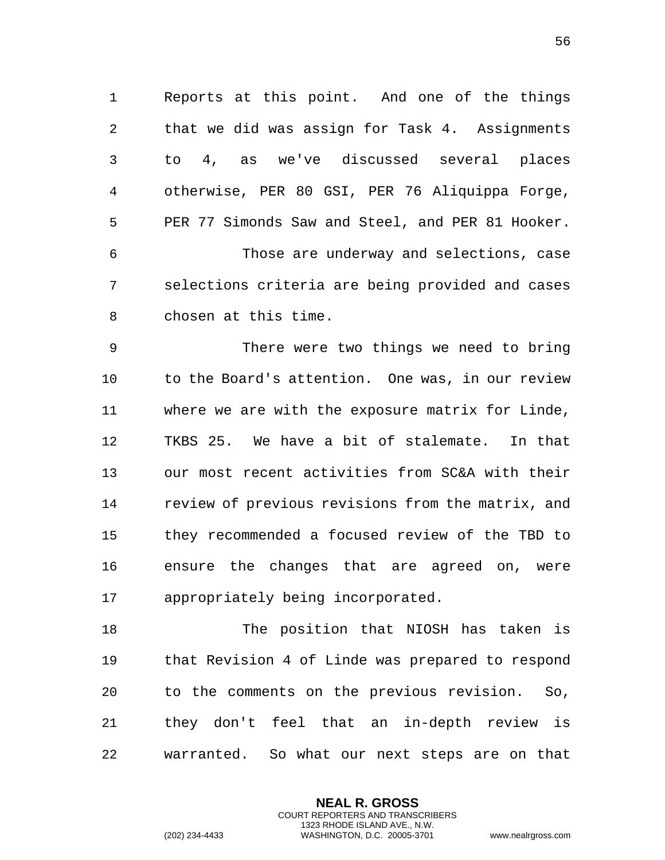1 Reports at this point. And one of the things 2 that we did was assign for Task 4. Assignments 3 to 4, as we've discussed several places 4 otherwise, PER 80 GSI, PER 76 Aliquippa Forge, 5 PER 77 Simonds Saw and Steel, and PER 81 Hooker. 6 Those are underway and selections, case 7 selections criteria are being provided and cases 8 chosen at this time.

9 There were two things we need to bring 10 to the Board's attention. One was, in our review 11 where we are with the exposure matrix for Linde, 12 TKBS 25. We have a bit of stalemate. In that 13 our most recent activities from SC&A with their 14 review of previous revisions from the matrix, and 15 they recommended a focused review of the TBD to 16 ensure the changes that are agreed on, were 17 appropriately being incorporated.

18 The position that NIOSH has taken is 19 that Revision 4 of Linde was prepared to respond 20 to the comments on the previous revision. So, 21 they don't feel that an in-depth review is 22 warranted. So what our next steps are on that

> **NEAL R. GROSS** COURT REPORTERS AND TRANSCRIBERS 1323 RHODE ISLAND AVE., N.W.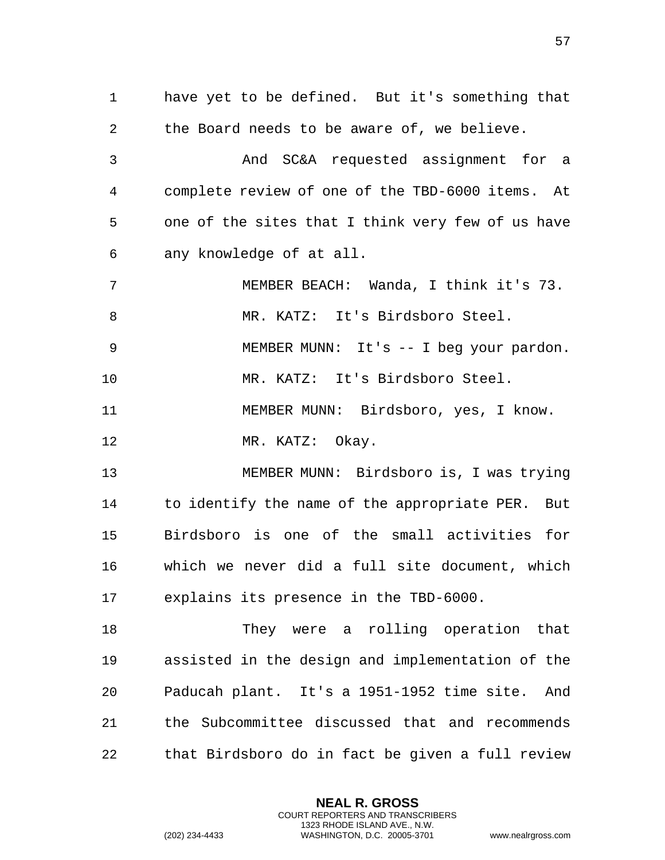1 have yet to be defined. But it's something that 2 the Board needs to be aware of, we believe. 3 And SC&A requested assignment for a 4 complete review of one of the TBD-6000 items. At 5 one of the sites that I think very few of us have 6 any knowledge of at all. 7 MEMBER BEACH: Wanda, I think it's 73. 8 MR. KATZ: It's Birdsboro Steel. 9 MEMBER MUNN: It's -- I beg your pardon. 10 MR. KATZ: It's Birdsboro Steel. 11 MEMBER MUNN: Birdsboro, yes, I know. 12 MR. KATZ: Okay. 13 MEMBER MUNN: Birdsboro is, I was trying 14 to identify the name of the appropriate PER. But 15 Birdsboro is one of the small activities for 16 which we never did a full site document, which 17 explains its presence in the TBD-6000. 18 They were a rolling operation that 19 assisted in the design and implementation of the 20 Paducah plant. It's a 1951-1952 time site. And 21 the Subcommittee discussed that and recommends 22 that Birdsboro do in fact be given a full review

> **NEAL R. GROSS** COURT REPORTERS AND TRANSCRIBERS 1323 RHODE ISLAND AVE., N.W.

(202) 234-4433 WASHINGTON, D.C. 20005-3701 www.nealrgross.com

57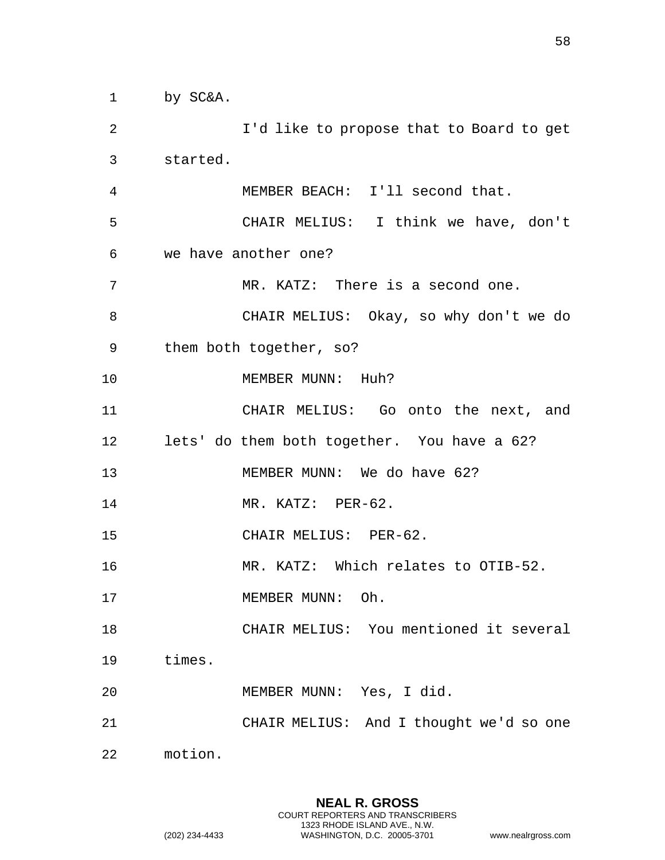1 by SC&A.

2 I'd like to propose that to Board to get 3 started. 4 MEMBER BEACH: I'll second that. 5 CHAIR MELIUS: I think we have, don't 6 we have another one? 7 MR. KATZ: There is a second one. 8 CHAIR MELIUS: Okay, so why don't we do 9 them both together, so? 10 MEMBER MUNN: Huh? 11 CHAIR MELIUS: Go onto the next, and 12 lets' do them both together. You have a 62? 13 MEMBER MUNN: We do have 62? 14 MR. KATZ: PER-62. 15 CHAIR MELIUS: PER-62. 16 MR. KATZ: Which relates to OTIB-52. 17 MEMBER MUNN: Oh. 18 CHAIR MELIUS: You mentioned it several 19 times. 20 MEMBER MUNN: Yes, I did. 21 CHAIR MELIUS: And I thought we'd so one 22 motion.

> **NEAL R. GROSS** COURT REPORTERS AND TRANSCRIBERS 1323 RHODE ISLAND AVE., N.W.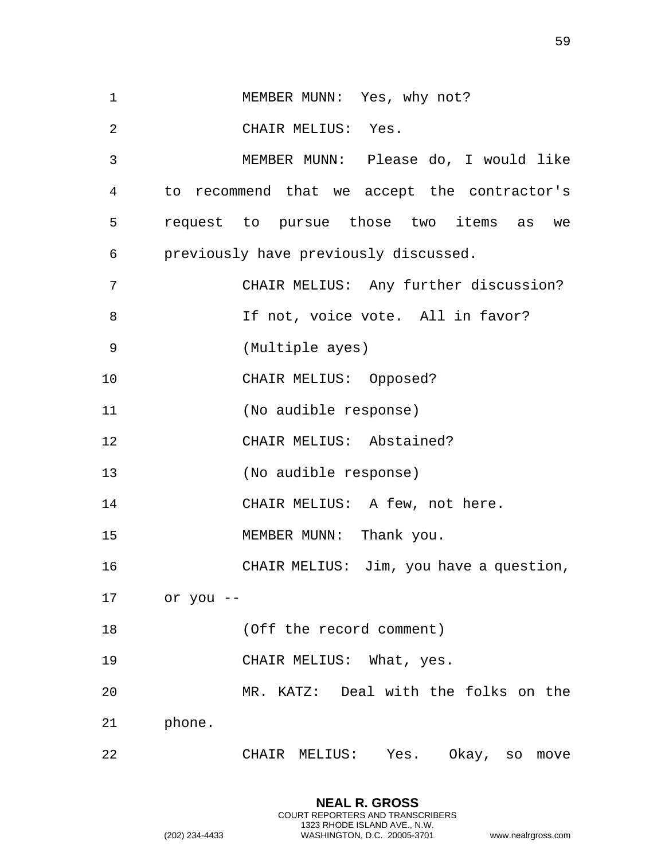| $\mathbf 1$    | MEMBER MUNN: Yes, why not?                   |
|----------------|----------------------------------------------|
| $\overline{2}$ | CHAIR MELIUS: Yes.                           |
| 3              | MEMBER MUNN: Please do, I would like         |
| 4              | to recommend that we accept the contractor's |
| 5              | request to pursue those two items as we      |
| 6              | previously have previously discussed.        |
| 7              | CHAIR MELIUS: Any further discussion?        |
| 8              | If not, voice vote. All in favor?            |
| 9              | (Multiple ayes)                              |
| 10             | CHAIR MELIUS: Opposed?                       |
| 11             | (No audible response)                        |
| 12             | CHAIR MELIUS: Abstained?                     |
| 13             | (No audible response)                        |
| 14             | CHAIR MELIUS: A few, not here.               |
| 15             | MEMBER MUNN: Thank you.                      |
| 16             | CHAIR MELIUS: Jim, you have a question,      |
| 17             | or you --                                    |
| 18             | (Off the record comment)                     |
| 19             | CHAIR MELIUS: What, yes.                     |
| 20             | MR. KATZ: Deal with the folks on the         |
| 21             | phone.                                       |
| 22             | Okay, so<br>CHAIR MELIUS:<br>Yes.<br>move    |

59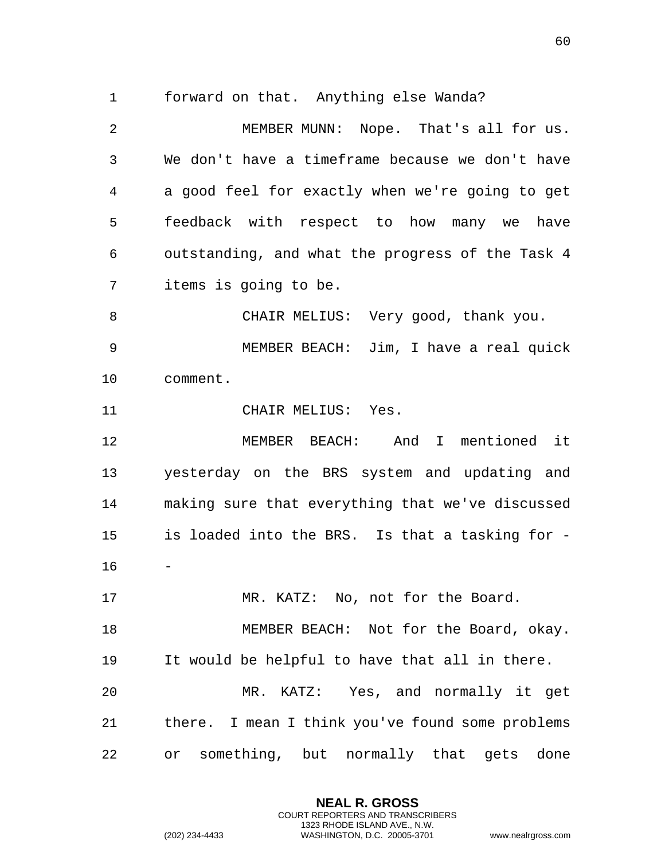1 forward on that. Anything else Wanda?

2 MEMBER MUNN: Nope. That's all for us. 3 We don't have a timeframe because we don't have 4 a good feel for exactly when we're going to get 5 feedback with respect to how many we have 6 outstanding, and what the progress of the Task 4 7 items is going to be. 8 CHAIR MELIUS: Very good, thank you. 9 MEMBER BEACH: Jim, I have a real quick 10 comment. 11 CHAIR MELIUS: Yes. 12 MEMBER BEACH: And I mentioned it 13 yesterday on the BRS system and updating and 14 making sure that everything that we've discussed 15 is loaded into the BRS. Is that a tasking for - 16 17 MR. KATZ: No, not for the Board. 18 MEMBER BEACH: Not for the Board, okay. 19 It would be helpful to have that all in there. 20 MR. KATZ: Yes, and normally it get 21 there. I mean I think you've found some problems 22 or something, but normally that gets done

> **NEAL R. GROSS** COURT REPORTERS AND TRANSCRIBERS 1323 RHODE ISLAND AVE., N.W.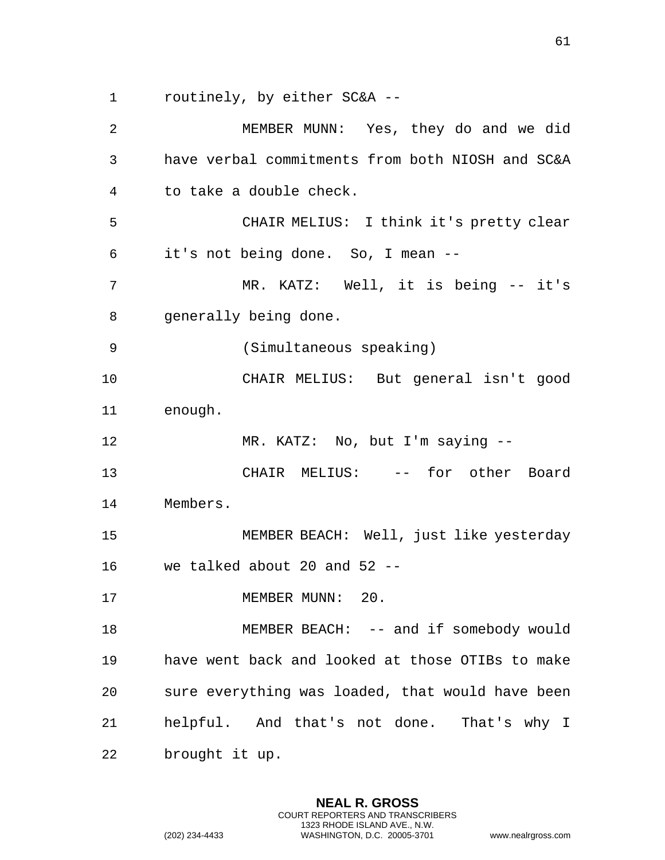1 routinely, by either SC&A --

2 MEMBER MUNN: Yes, they do and we did 3 have verbal commitments from both NIOSH and SC&A 4 to take a double check. 5 CHAIR MELIUS: I think it's pretty clear 6 it's not being done. So, I mean -- 7 MR. KATZ: Well, it is being -- it's 8 generally being done. 9 (Simultaneous speaking) 10 CHAIR MELIUS: But general isn't good 11 enough. 12 MR. KATZ: No, but I'm saying -- 13 CHAIR MELIUS: -- for other Board 14 Members. 15 MEMBER BEACH: Well, just like yesterday 16 we talked about 20 and 52 -- 17 MEMBER MUNN: 20. 18 MEMBER BEACH: -- and if somebody would 19 have went back and looked at those OTIBs to make 20 sure everything was loaded, that would have been 21 helpful. And that's not done. That's why I 22 brought it up.

> **NEAL R. GROSS** COURT REPORTERS AND TRANSCRIBERS 1323 RHODE ISLAND AVE., N.W.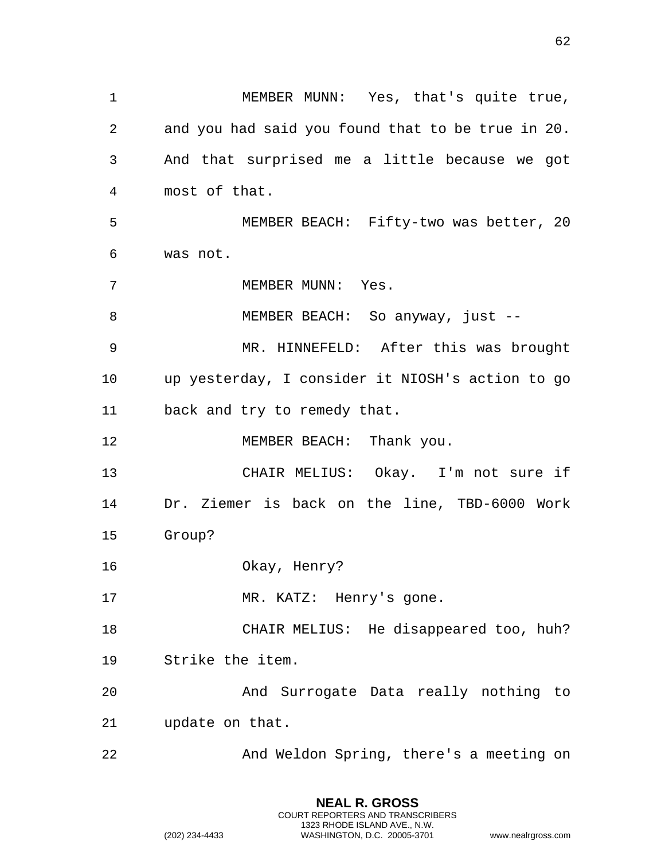1 MEMBER MUNN: Yes, that's quite true, 2 and you had said you found that to be true in 20. 3 And that surprised me a little because we got 4 most of that. 5 MEMBER BEACH: Fifty-two was better, 20 6 was not. 7 MEMBER MUNN: Yes. 8 MEMBER BEACH: So anyway, just --9 MR. HINNEFELD: After this was brought 10 up yesterday, I consider it NIOSH's action to go 11 back and try to remedy that. 12 MEMBER BEACH: Thank you. 13 CHAIR MELIUS: Okay. I'm not sure if 14 Dr. Ziemer is back on the line, TBD-6000 Work 15 Group? 16 Okay, Henry? 17 MR. KATZ: Henry's gone. 18 CHAIR MELIUS: He disappeared too, huh? 19 Strike the item. 20 And Surrogate Data really nothing to 21 update on that. 22 And Weldon Spring, there's a meeting on

62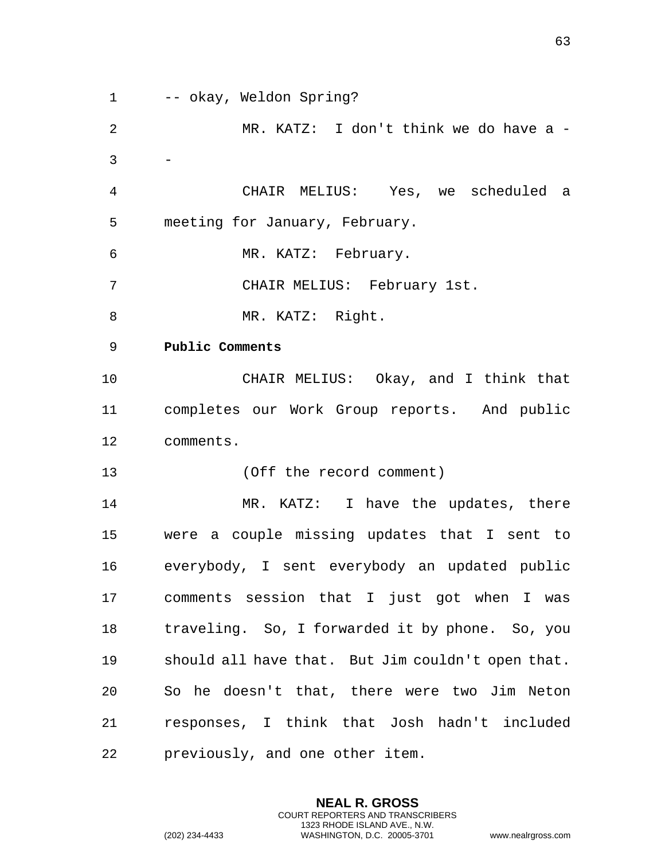<span id="page-62-0"></span>1 -- okay, Weldon Spring? 2 MR. KATZ: I don't think we do have a -  $3 -$ 4 CHAIR MELIUS: Yes, we scheduled a 5 meeting for January, February. 6 MR. KATZ: February. 7 CHAIR MELIUS: February 1st. 8 MR. KATZ: Right. 9 **Public Comments**  10 CHAIR MELIUS: Okay, and I think that 11 completes our Work Group reports. And public 12 comments. 13 (Off the record comment) 14 MR. KATZ: I have the updates, there 15 were a couple missing updates that I sent to 16 everybody, I sent everybody an updated public 17 comments session that I just got when I was 18 traveling. So, I forwarded it by phone. So, you 19 should all have that. But Jim couldn't open that. 20 So he doesn't that, there were two Jim Neton 21 responses, I think that Josh hadn't included 22 previously, and one other item.

> **NEAL R. GROSS** COURT REPORTERS AND TRANSCRIBERS 1323 RHODE ISLAND AVE., N.W.

(202) 234-4433 WASHINGTON, D.C. 20005-3701 www.nealrgross.com

63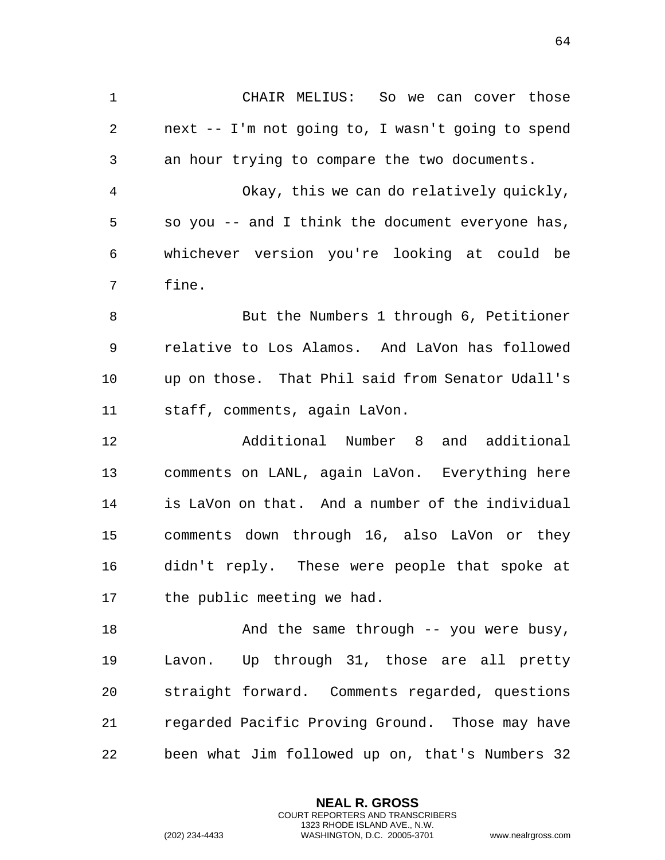1 CHAIR MELIUS: So we can cover those 2 next -- I'm not going to, I wasn't going to spend 3 an hour trying to compare the two documents. 4 Okay, this we can do relatively quickly, 5 so you -- and I think the document everyone has, 6 whichever version you're looking at could be

7 fine.

8 But the Numbers 1 through 6, Petitioner 9 relative to Los Alamos. And LaVon has followed 10 up on those. That Phil said from Senator Udall's 11 staff, comments, again LaVon.

12 Additional Number 8 and additional 13 comments on LANL, again LaVon. Everything here 14 is LaVon on that. And a number of the individual 15 comments down through 16, also LaVon or they 16 didn't reply. These were people that spoke at 17 the public meeting we had.

18 And the same through -- you were busy, 19 Lavon. Up through 31, those are all pretty 20 straight forward. Comments regarded, questions 21 regarded Pacific Proving Ground. Those may have 22 been what Jim followed up on, that's Numbers 32

> **NEAL R. GROSS** COURT REPORTERS AND TRANSCRIBERS 1323 RHODE ISLAND AVE., N.W.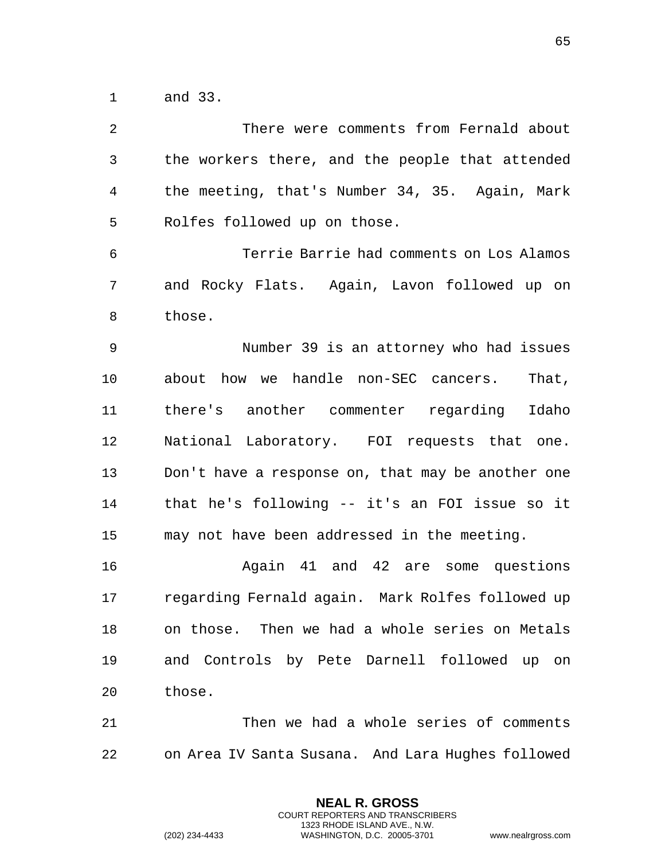1 and 33.

| There were comments from Fernald about            |
|---------------------------------------------------|
| the workers there, and the people that attended   |
| the meeting, that's Number 34, 35. Again, Mark    |
| Rolfes followed up on those.                      |
| Terrie Barrie had comments on Los Alamos          |
| and Rocky Flats. Again, Lavon followed up on      |
| those.                                            |
| Number 39 is an attorney who had issues           |
| about how we handle non-SEC cancers.<br>That,     |
| there's another commenter regarding Idaho         |
| National Laboratory. FOI requests that one.       |
| Don't have a response on, that may be another one |
| that he's following -- it's an FOI issue so it    |
| may not have been addressed in the meeting.       |
| Again 41 and 42 are some questions                |
| regarding Fernald again. Mark Rolfes followed up  |
| on those. Then we had a whole series on Metals    |
| and Controls by Pete Darnell followed up on       |
| those.                                            |
| Then we had a whole series of comments            |
|                                                   |

22 on Area IV Santa Susana. And Lara Hughes followed

**NEAL R. GROSS** COURT REPORTERS AND TRANSCRIBERS 1323 RHODE ISLAND AVE., N.W.